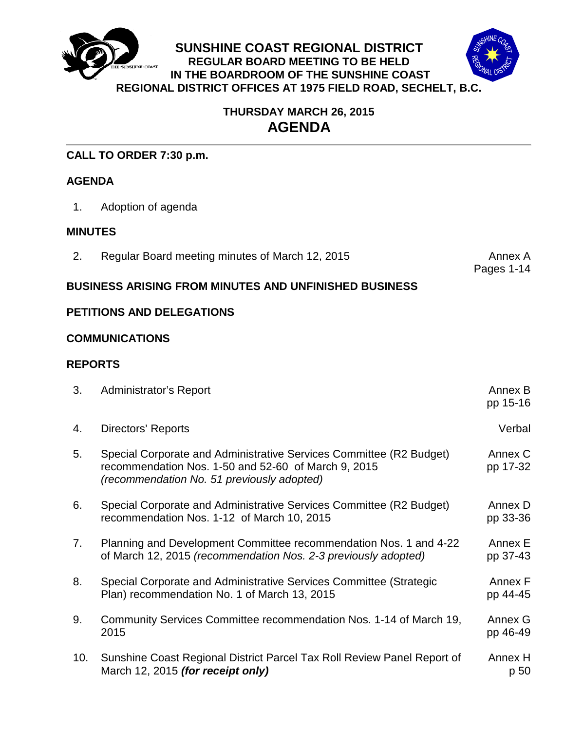



# **THURSDAY MARCH 26, 2015 AGENDA**

**SUNSHINE COAST REGIONAL DISTRICT REGULAR BOARD MEETING TO BE HELD IN THE BOARDROOM OF THE SUNSHINE COAST**

## **CALL TO ORDER 7:30 p.m.**

## **AGENDA**

1. Adoption of agenda

## **MINUTES**

2. Regular Board meeting minutes of March 12, 2015

Pages 1-14

## **BUSINESS ARISING FROM MINUTES AND UNFINISHED BUSINESS**

## **PETITIONS AND DELEGATIONS**

#### **COMMUNICATIONS**

## **REPORTS**

| 3.  | <b>Administrator's Report</b>                                                                                                                                            | Annex B<br>pp 15-16 |
|-----|--------------------------------------------------------------------------------------------------------------------------------------------------------------------------|---------------------|
| 4.  | Directors' Reports                                                                                                                                                       | Verbal              |
| 5.  | Special Corporate and Administrative Services Committee (R2 Budget)<br>recommendation Nos. 1-50 and 52-60 of March 9, 2015<br>(recommendation No. 51 previously adopted) | Annex C<br>pp 17-32 |
| 6.  | Special Corporate and Administrative Services Committee (R2 Budget)<br>recommendation Nos. 1-12 of March 10, 2015                                                        | Annex D<br>pp 33-36 |
| 7.  | Planning and Development Committee recommendation Nos. 1 and 4-22<br>of March 12, 2015 (recommendation Nos. 2-3 previously adopted)                                      | Annex E<br>pp 37-43 |
| 8.  | Special Corporate and Administrative Services Committee (Strategic<br>Plan) recommendation No. 1 of March 13, 2015                                                       | Annex F<br>pp 44-45 |
| 9.  | Community Services Committee recommendation Nos. 1-14 of March 19,<br>2015                                                                                               | Annex G<br>pp 46-49 |
| 10. | Sunshine Coast Regional District Parcel Tax Roll Review Panel Report of<br>March 12, 2015 (for receipt only)                                                             | Annex H<br>p 50     |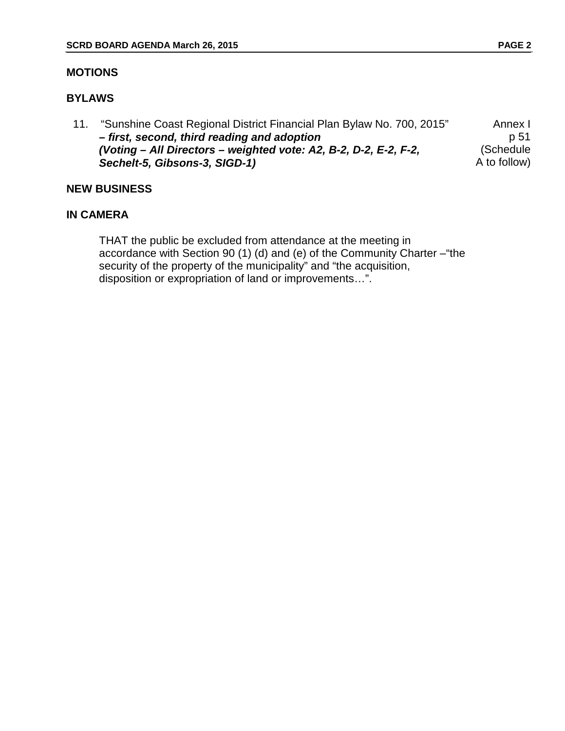## **MOTIONS**

## **BYLAWS**

11. ["Sunshine Coast Regional District Financial Plan Bylaw No. 700, 2015"](#page-53-0)  *– first, second, third reading and adoption (Voting – All Directors – weighted vote: A2, B-2, D-2, E-2, F-2, Sechelt-5, Gibsons-3, SIGD-1)* Annex I p 51 (Schedule A to follow)

#### **NEW BUSINESS**

#### **IN CAMERA**

THAT the public be excluded from attendance at the meeting in accordance with Section 90 (1) (d) and (e) of the Community Charter –"the security of the property of the municipality" and "the acquisition, disposition or expropriation of land or improvements…".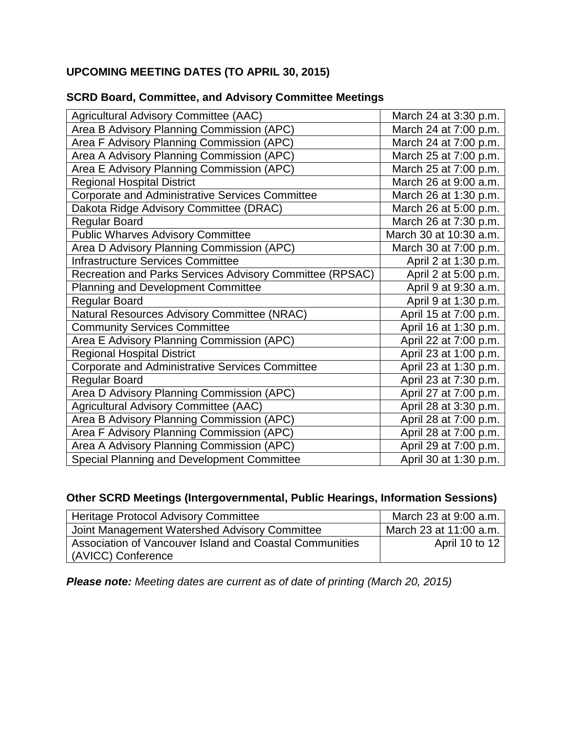# **UPCOMING MEETING DATES (TO APRIL 30, 2015)**

| Agricultural Advisory Committee (AAC)                    | March 24 at 3:30 p.m.  |
|----------------------------------------------------------|------------------------|
| Area B Advisory Planning Commission (APC)                | March 24 at 7:00 p.m.  |
| Area F Advisory Planning Commission (APC)                | March 24 at 7:00 p.m.  |
| Area A Advisory Planning Commission (APC)                | March 25 at 7:00 p.m.  |
| Area E Advisory Planning Commission (APC)                | March 25 at 7:00 p.m.  |
| <b>Regional Hospital District</b>                        | March 26 at 9:00 a.m.  |
| <b>Corporate and Administrative Services Committee</b>   | March 26 at 1:30 p.m.  |
| Dakota Ridge Advisory Committee (DRAC)                   | March 26 at 5:00 p.m.  |
| <b>Regular Board</b>                                     | March 26 at 7:30 p.m.  |
| <b>Public Wharves Advisory Committee</b>                 | March 30 at 10:30 a.m. |
| Area D Advisory Planning Commission (APC)                | March 30 at 7:00 p.m.  |
| <b>Infrastructure Services Committee</b>                 | April 2 at 1:30 p.m.   |
| Recreation and Parks Services Advisory Committee (RPSAC) | April 2 at 5:00 p.m.   |
| <b>Planning and Development Committee</b>                | April 9 at 9:30 a.m.   |
| Regular Board                                            | April 9 at 1:30 p.m.   |
| Natural Resources Advisory Committee (NRAC)              | April 15 at 7:00 p.m.  |
| <b>Community Services Committee</b>                      | April 16 at 1:30 p.m.  |
| Area E Advisory Planning Commission (APC)                | April 22 at 7:00 p.m.  |
| <b>Regional Hospital District</b>                        | April 23 at 1:00 p.m.  |
| <b>Corporate and Administrative Services Committee</b>   | April 23 at 1:30 p.m.  |
| <b>Regular Board</b>                                     | April 23 at 7:30 p.m.  |
| Area D Advisory Planning Commission (APC)                | April 27 at 7:00 p.m.  |
| Agricultural Advisory Committee (AAC)                    | April 28 at 3:30 p.m.  |
| Area B Advisory Planning Commission (APC)                | April 28 at 7:00 p.m.  |
| Area F Advisory Planning Commission (APC)                | April 28 at 7:00 p.m.  |
| Area A Advisory Planning Commission (APC)                | April 29 at 7:00 p.m.  |
| Special Planning and Development Committee               | April 30 at 1:30 p.m.  |

## **SCRD Board, Committee, and Advisory Committee Meetings**

# **Other SCRD Meetings (Intergovernmental, Public Hearings, Information Sessions)**

| <b>Heritage Protocol Advisory Committee</b>             | March 23 at 9:00 a.m.  |
|---------------------------------------------------------|------------------------|
| Joint Management Watershed Advisory Committee           | March 23 at 11:00 a.m. |
| Association of Vancouver Island and Coastal Communities | April 10 to 12         |
| (AVICC) Conference                                      |                        |

*Please note: Meeting dates are current as of date of printing (March 20, 2015)*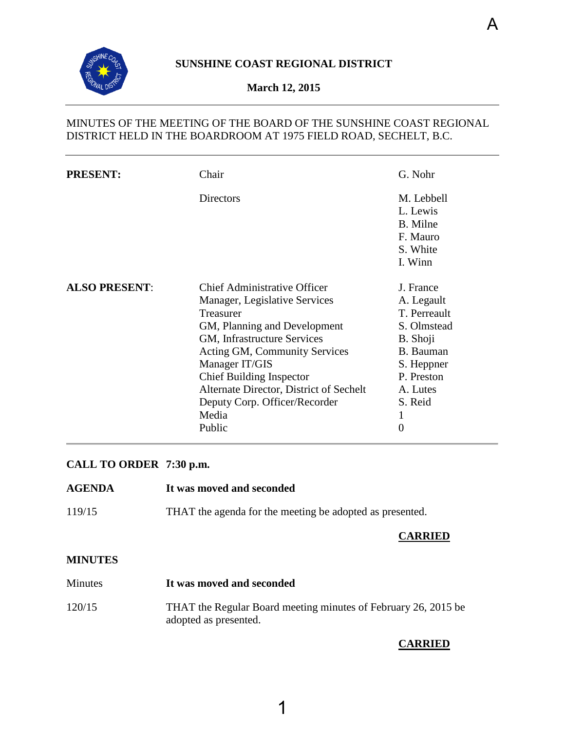<span id="page-3-0"></span>

## **March 12, 2015**

## MINUTES OF THE MEETING OF THE BOARD OF THE SUNSHINE COAST REGIONAL DISTRICT HELD IN THE BOARDROOM AT 1975 FIELD ROAD, SECHELT, B.C.

| <b>PRESENT:</b>      | Chair                                                                                                                                                                                                                                                                                                                                 | G. Nohr                                                                                                                                               |
|----------------------|---------------------------------------------------------------------------------------------------------------------------------------------------------------------------------------------------------------------------------------------------------------------------------------------------------------------------------------|-------------------------------------------------------------------------------------------------------------------------------------------------------|
|                      | Directors                                                                                                                                                                                                                                                                                                                             | M. Lebbell<br>L. Lewis<br>B. Milne<br>F. Mauro<br>S. White<br>I. Winn                                                                                 |
| <b>ALSO PRESENT:</b> | Chief Administrative Officer<br>Manager, Legislative Services<br><b>Treasurer</b><br>GM, Planning and Development<br>GM, Infrastructure Services<br>Acting GM, Community Services<br>Manager IT/GIS<br><b>Chief Building Inspector</b><br>Alternate Director, District of Sechelt<br>Deputy Corp. Officer/Recorder<br>Media<br>Public | J. France<br>A. Legault<br>T. Perreault<br>S. Olmstead<br>B. Shoji<br><b>B.</b> Bauman<br>S. Heppner<br>P. Preston<br>A. Lutes<br>S. Reid<br>$\Omega$ |

## **CALL TO ORDER 7:30 p.m.**

| <b>AGENDA</b>   | It was moved and seconded                                |
|-----------------|----------------------------------------------------------|
| 119/15          | THAT the agenda for the meeting be adopted as presented. |
| 1 III II III IO | <b>CARRIED</b>                                           |

#### **MINUTES**

| <b>Minutes</b> | It was moved and seconded                                                               |
|----------------|-----------------------------------------------------------------------------------------|
| 120/15         | THAT the Regular Board meeting minutes of February 26, 2015 be<br>adopted as presented. |

#### **CARRIED**

A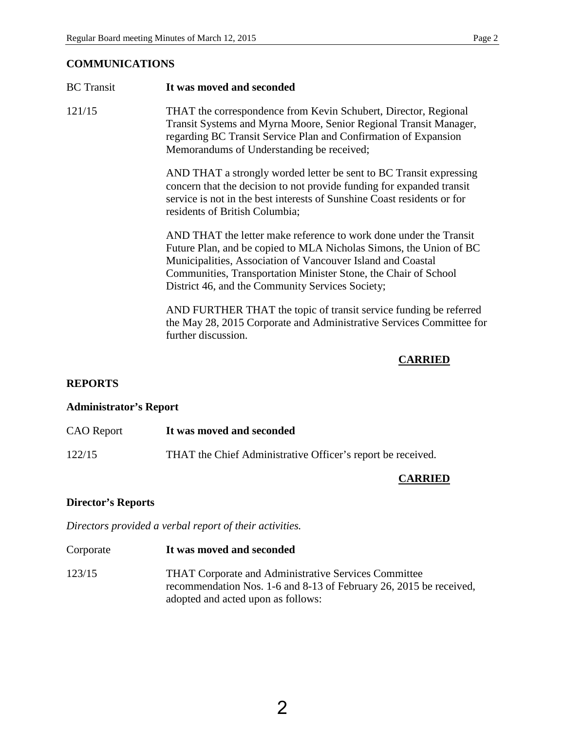## **COMMUNICATIONS**

| <b>BC</b> Transit | It was moved and seconded                                                                                                                                                                                                                                                                                                     |
|-------------------|-------------------------------------------------------------------------------------------------------------------------------------------------------------------------------------------------------------------------------------------------------------------------------------------------------------------------------|
| 121/15            | THAT the correspondence from Kevin Schubert, Director, Regional<br>Transit Systems and Myrna Moore, Senior Regional Transit Manager,<br>regarding BC Transit Service Plan and Confirmation of Expansion<br>Memorandums of Understanding be received;                                                                          |
|                   | AND THAT a strongly worded letter be sent to BC Transit expressing<br>concern that the decision to not provide funding for expanded transit<br>service is not in the best interests of Sunshine Coast residents or for<br>residents of British Columbia;                                                                      |
|                   | AND THAT the letter make reference to work done under the Transit<br>Future Plan, and be copied to MLA Nicholas Simons, the Union of BC<br>Municipalities, Association of Vancouver Island and Coastal<br>Communities, Transportation Minister Stone, the Chair of School<br>District 46, and the Community Services Society; |
|                   | AND FURTHER THAT the topic of transit service funding be referred<br>the May 28, 2015 Corporate and Administrative Services Committee for<br>further discussion.                                                                                                                                                              |
|                   | <b>CARRIED</b>                                                                                                                                                                                                                                                                                                                |
| <b>REPORTS</b>    |                                                                                                                                                                                                                                                                                                                               |

# **Administrator's Report**

| <b>CAO</b> Report | It was moved and seconded                                   |
|-------------------|-------------------------------------------------------------|
| 122/15            | THAT the Chief Administrative Officer's report be received. |

# **CARRIED**

## **Director's Reports**

*Directors provided a verbal report of their activities.*

| Corporate | It was moved and seconded                                                                                                                                               |
|-----------|-------------------------------------------------------------------------------------------------------------------------------------------------------------------------|
| 123/15    | <b>THAT Corporate and Administrative Services Committee</b><br>recommendation Nos. 1-6 and 8-13 of February 26, 2015 be received,<br>adopted and acted upon as follows: |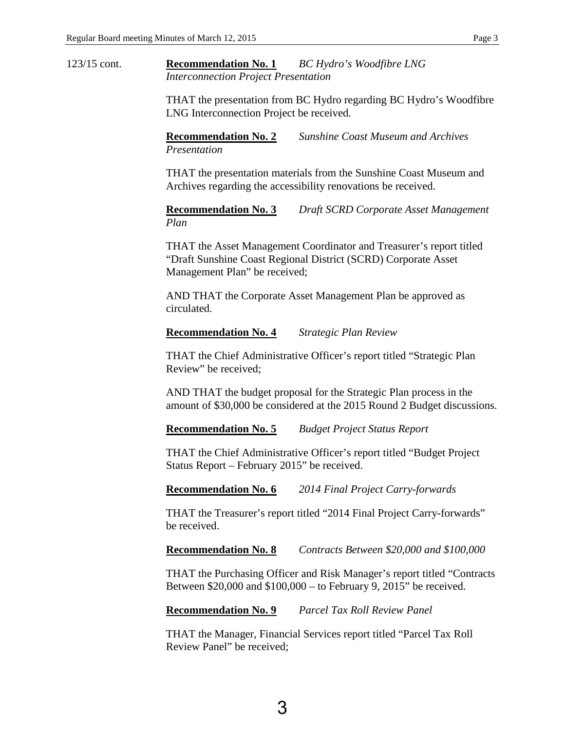123/15 cont. **Recommendation No. 1** *BC Hydro's Woodfibre LNG Interconnection Project Presentation* 

> THAT the presentation from BC Hydro regarding BC Hydro's Woodfibre LNG Interconnection Project be received.

**Recommendation No. 2** *Sunshine Coast Museum and Archives Presentation* 

THAT the presentation materials from the Sunshine Coast Museum and Archives regarding the accessibility renovations be received.

**Recommendation No. 3** *Draft SCRD Corporate Asset Management Plan*

THAT the Asset Management Coordinator and Treasurer's report titled "Draft Sunshine Coast Regional District (SCRD) Corporate Asset Management Plan" be received;

AND THAT the Corporate Asset Management Plan be approved as circulated.

#### **Recommendation No. 4** *Strategic Plan Review*

THAT the Chief Administrative Officer's report titled "Strategic Plan Review" be received;

AND THAT the budget proposal for the Strategic Plan process in the amount of \$30,000 be considered at the 2015 Round 2 Budget discussions.

**Recommendation No. 5** *Budget Project Status Report* 

THAT the Chief Administrative Officer's report titled "Budget Project Status Report – February 2015" be received.

**Recommendation No. 6** *2014 Final Project Carry-forwards* 

THAT the Treasurer's report titled "2014 Final Project Carry-forwards" be received.

**Recommendation No. 8** *Contracts Between \$20,000 and \$100,000* 

THAT the Purchasing Officer and Risk Manager's report titled "Contracts Between \$20,000 and \$100,000 – to February 9, 2015" be received.

**Recommendation No. 9** *Parcel Tax Roll Review Panel*

THAT the Manager, Financial Services report titled "Parcel Tax Roll Review Panel" be received;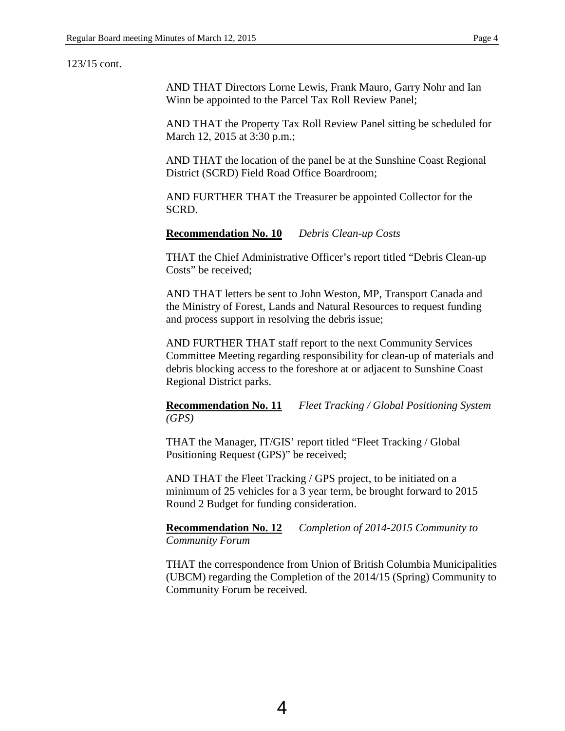#### 123/15 cont.

AND THAT Directors Lorne Lewis, Frank Mauro, Garry Nohr and Ian Winn be appointed to the Parcel Tax Roll Review Panel;

AND THAT the Property Tax Roll Review Panel sitting be scheduled for March 12, 2015 at 3:30 p.m.;

AND THAT the location of the panel be at the Sunshine Coast Regional District (SCRD) Field Road Office Boardroom;

AND FURTHER THAT the Treasurer be appointed Collector for the SCRD.

**Recommendation No. 10** *Debris Clean-up Costs* 

THAT the Chief Administrative Officer's report titled "Debris Clean-up Costs" be received;

AND THAT letters be sent to John Weston, MP, Transport Canada and the Ministry of Forest, Lands and Natural Resources to request funding and process support in resolving the debris issue;

AND FURTHER THAT staff report to the next Community Services Committee Meeting regarding responsibility for clean-up of materials and debris blocking access to the foreshore at or adjacent to Sunshine Coast Regional District parks.

**Recommendation No. 11** *Fleet Tracking / Global Positioning System (GPS)*

THAT the Manager, IT/GIS' report titled "Fleet Tracking / Global Positioning Request (GPS)" be received;

AND THAT the Fleet Tracking / GPS project, to be initiated on a minimum of 25 vehicles for a 3 year term, be brought forward to 2015 Round 2 Budget for funding consideration.

**Recommendation No. 12** *Completion of 2014-2015 Community to Community Forum* 

THAT the correspondence from Union of British Columbia Municipalities (UBCM) regarding the Completion of the 2014/15 (Spring) Community to Community Forum be received.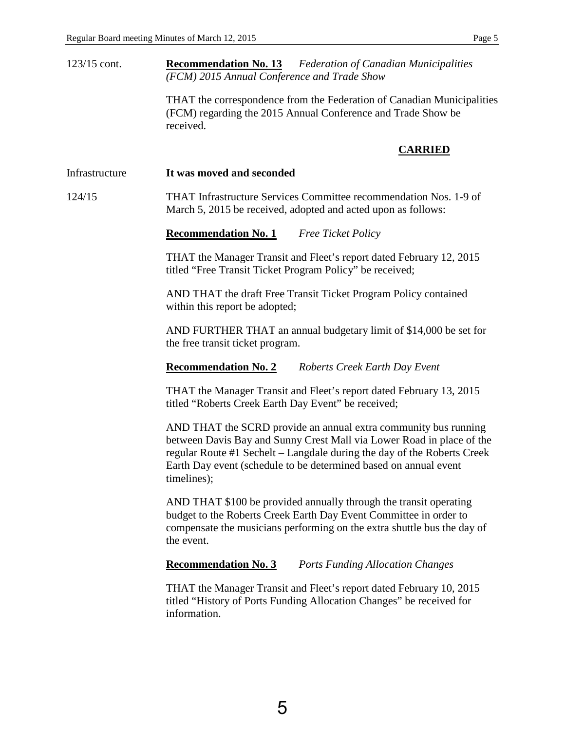123/15 cont. **Recommendation No. 13** *Federation of Canadian Municipalities (FCM) 2015 Annual Conference and Trade Show* 

> THAT the correspondence from the Federation of Canadian Municipalities (FCM) regarding the 2015 Annual Conference and Trade Show be received.

#### **CARRIED**

Infrastructure **It was moved and seconded** 

124/15 THAT Infrastructure Services Committee recommendation Nos. 1-9 of March 5, 2015 be received, adopted and acted upon as follows:

**Recommendation No. 1** *Free Ticket Policy*

THAT the Manager Transit and Fleet's report dated February 12, 2015 titled "Free Transit Ticket Program Policy" be received;

AND THAT the draft Free Transit Ticket Program Policy contained within this report be adopted;

AND FURTHER THAT an annual budgetary limit of \$14,000 be set for the free transit ticket program.

#### **Recommendation No. 2** *Roberts Creek Earth Day Event*

THAT the Manager Transit and Fleet's report dated February 13, 2015 titled "Roberts Creek Earth Day Event" be received;

AND THAT the SCRD provide an annual extra community bus running between Davis Bay and Sunny Crest Mall via Lower Road in place of the regular Route #1 Sechelt – Langdale during the day of the Roberts Creek Earth Day event (schedule to be determined based on annual event timelines);

AND THAT \$100 be provided annually through the transit operating budget to the Roberts Creek Earth Day Event Committee in order to compensate the musicians performing on the extra shuttle bus the day of the event.

**Recommendation No. 3** *Ports Funding Allocation Changes* 

THAT the Manager Transit and Fleet's report dated February 10, 2015 titled "History of Ports Funding Allocation Changes" be received for information.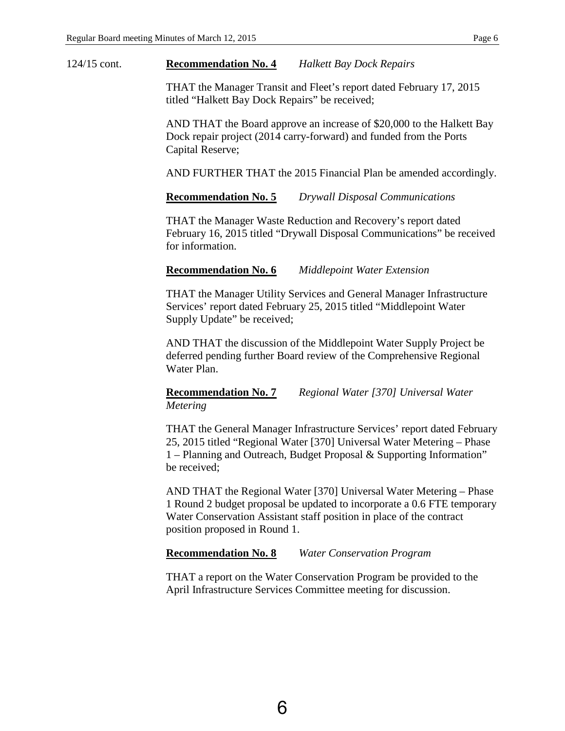#### 124/15 cont. **Recommendation No. 4** *Halkett Bay Dock Repairs*

THAT the Manager Transit and Fleet's report dated February 17, 2015 titled "Halkett Bay Dock Repairs" be received;

AND THAT the Board approve an increase of \$20,000 to the Halkett Bay Dock repair project (2014 carry-forward) and funded from the Ports Capital Reserve;

AND FURTHER THAT the 2015 Financial Plan be amended accordingly.

#### **Recommendation No. 5** *Drywall Disposal Communications*

THAT the Manager Waste Reduction and Recovery's report dated February 16, 2015 titled "Drywall Disposal Communications" be received for information.

#### **Recommendation No. 6** *Middlepoint Water Extension*

THAT the Manager Utility Services and General Manager Infrastructure Services' report dated February 25, 2015 titled "Middlepoint Water Supply Update" be received;

AND THAT the discussion of the Middlepoint Water Supply Project be deferred pending further Board review of the Comprehensive Regional Water Plan.

#### **Recommendation No. 7** *Regional Water [370] Universal Water Metering*

THAT the General Manager Infrastructure Services' report dated February 25, 2015 titled "Regional Water [370] Universal Water Metering – Phase 1 – Planning and Outreach, Budget Proposal & Supporting Information" be received;

AND THAT the Regional Water [370] Universal Water Metering – Phase 1 Round 2 budget proposal be updated to incorporate a 0.6 FTE temporary Water Conservation Assistant staff position in place of the contract position proposed in Round 1.

#### **Recommendation No. 8** *Water Conservation Program*

THAT a report on the Water Conservation Program be provided to the April Infrastructure Services Committee meeting for discussion.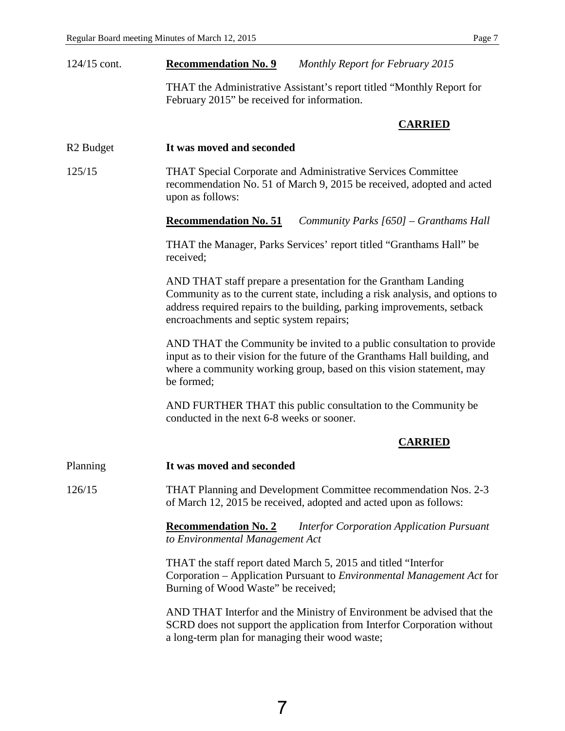| $124/15$ cont.        | <b>Recommendation No. 9</b>                                    | Monthly Report for February 2015                                                                                                                                                                                             |
|-----------------------|----------------------------------------------------------------|------------------------------------------------------------------------------------------------------------------------------------------------------------------------------------------------------------------------------|
|                       | February 2015" be received for information.                    | THAT the Administrative Assistant's report titled "Monthly Report for                                                                                                                                                        |
|                       |                                                                | <b>CARRIED</b>                                                                                                                                                                                                               |
| R <sub>2</sub> Budget | It was moved and seconded                                      |                                                                                                                                                                                                                              |
| 125/15                | upon as follows:                                               | <b>THAT Special Corporate and Administrative Services Committee</b><br>recommendation No. 51 of March 9, 2015 be received, adopted and acted                                                                                 |
|                       | <b>Recommendation No. 51</b>                                   | Community Parks [650] – Granthams Hall                                                                                                                                                                                       |
|                       | received;                                                      | THAT the Manager, Parks Services' report titled "Granthams Hall" be                                                                                                                                                          |
|                       | encroachments and septic system repairs;                       | AND THAT staff prepare a presentation for the Grantham Landing<br>Community as to the current state, including a risk analysis, and options to<br>address required repairs to the building, parking improvements, setback    |
|                       | be formed;                                                     | AND THAT the Community be invited to a public consultation to provide<br>input as to their vision for the future of the Granthams Hall building, and<br>where a community working group, based on this vision statement, may |
|                       | conducted in the next 6-8 weeks or sooner.                     | AND FURTHER THAT this public consultation to the Community be                                                                                                                                                                |
|                       |                                                                | <b>CARRIED</b>                                                                                                                                                                                                               |
| Planning              | It was moved and seconded                                      |                                                                                                                                                                                                                              |
| 126/15                |                                                                | THAT Planning and Development Committee recommendation Nos. 2-3<br>of March 12, 2015 be received, adopted and acted upon as follows:                                                                                         |
|                       | <b>Recommendation No. 2</b><br>to Environmental Management Act | <b>Interfor Corporation Application Pursuant</b>                                                                                                                                                                             |
|                       | Burning of Wood Waste" be received;                            | THAT the staff report dated March 5, 2015 and titled "Interfor"<br>Corporation – Application Pursuant to <i>Environmental Management Act</i> for                                                                             |
|                       | a long-term plan for managing their wood waste;                | AND THAT Interfor and the Ministry of Environment be advised that the<br>SCRD does not support the application from Interfor Corporation without                                                                             |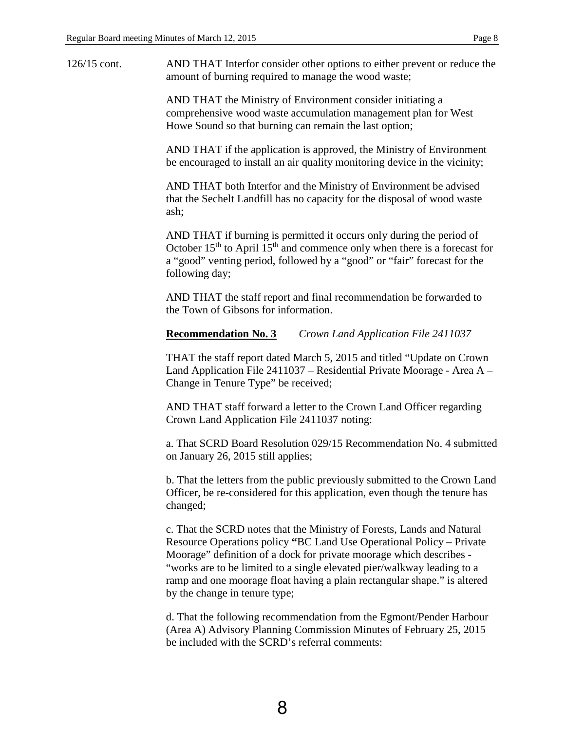126/15 cont. AND THAT Interfor consider other options to either prevent or reduce the amount of burning required to manage the wood waste;

> AND THAT the Ministry of Environment consider initiating a comprehensive wood waste accumulation management plan for West Howe Sound so that burning can remain the last option;

AND THAT if the application is approved, the Ministry of Environment be encouraged to install an air quality monitoring device in the vicinity;

AND THAT both Interfor and the Ministry of Environment be advised that the Sechelt Landfill has no capacity for the disposal of wood waste ash;

AND THAT if burning is permitted it occurs only during the period of October  $15<sup>th</sup>$  to April  $15<sup>th</sup>$  and commence only when there is a forecast for a "good" venting period, followed by a "good" or "fair" forecast for the following day;

AND THAT the staff report and final recommendation be forwarded to the Town of Gibsons for information.

#### **Recommendation No. 3** *Crown Land Application File 2411037*

THAT the staff report dated March 5, 2015 and titled "Update on Crown Land Application File 2411037 – Residential Private Moorage - Area A – Change in Tenure Type" be received;

AND THAT staff forward a letter to the Crown Land Officer regarding Crown Land Application File 2411037 noting:

a. That SCRD Board Resolution 029/15 Recommendation No. 4 submitted on January 26, 2015 still applies;

b. That the letters from the public previously submitted to the Crown Land Officer, be re-considered for this application, even though the tenure has changed;

c. That the SCRD notes that the Ministry of Forests, Lands and Natural Resource Operations policy **"**BC Land Use Operational Policy – Private Moorage" definition of a dock for private moorage which describes - "works are to be limited to a single elevated pier/walkway leading to a ramp and one moorage float having a plain rectangular shape." is altered by the change in tenure type;

d. That the following recommendation from the Egmont/Pender Harbour (Area A) Advisory Planning Commission Minutes of February 25, 2015 be included with the SCRD's referral comments: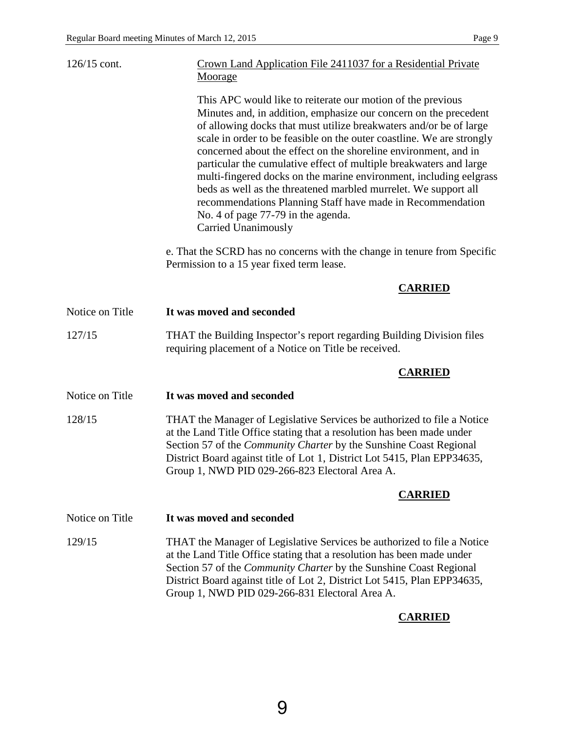| $126/15$ cont.  | Crown Land Application File 2411037 for a Residential Private<br>Moorage                                                                                                                                                                                                                                                                                                                                                                                                                                                                                                                                                                                                                           |
|-----------------|----------------------------------------------------------------------------------------------------------------------------------------------------------------------------------------------------------------------------------------------------------------------------------------------------------------------------------------------------------------------------------------------------------------------------------------------------------------------------------------------------------------------------------------------------------------------------------------------------------------------------------------------------------------------------------------------------|
|                 | This APC would like to reiterate our motion of the previous<br>Minutes and, in addition, emphasize our concern on the precedent<br>of allowing docks that must utilize breakwaters and/or be of large<br>scale in order to be feasible on the outer coastline. We are strongly<br>concerned about the effect on the shoreline environment, and in<br>particular the cumulative effect of multiple breakwaters and large<br>multi-fingered docks on the marine environment, including eelgrass<br>beds as well as the threatened marbled murrelet. We support all<br>recommendations Planning Staff have made in Recommendation<br>No. 4 of page 77-79 in the agenda.<br><b>Carried Unanimously</b> |
|                 | e. That the SCRD has no concerns with the change in tenure from Specific<br>Permission to a 15 year fixed term lease.                                                                                                                                                                                                                                                                                                                                                                                                                                                                                                                                                                              |
|                 | <b>CARRIED</b>                                                                                                                                                                                                                                                                                                                                                                                                                                                                                                                                                                                                                                                                                     |
| Notice on Title | It was moved and seconded                                                                                                                                                                                                                                                                                                                                                                                                                                                                                                                                                                                                                                                                          |
| 127/15          | THAT the Building Inspector's report regarding Building Division files<br>requiring placement of a Notice on Title be received.                                                                                                                                                                                                                                                                                                                                                                                                                                                                                                                                                                    |
|                 | <b>CARRIED</b>                                                                                                                                                                                                                                                                                                                                                                                                                                                                                                                                                                                                                                                                                     |
| Notice on Title | It was moved and seconded                                                                                                                                                                                                                                                                                                                                                                                                                                                                                                                                                                                                                                                                          |
| 128/15          | THAT the Manager of Legislative Services be authorized to file a Notice<br>at the Land Title Office stating that a resolution has been made under<br>Section 57 of the Community Charter by the Sunshine Coast Regional<br>District Board against title of Lot 1, District Lot 5415, Plan EPP34635,<br>Group 1, NWD PID 029-266-823 Electoral Area A.                                                                                                                                                                                                                                                                                                                                              |
|                 | <b>CARRIED</b>                                                                                                                                                                                                                                                                                                                                                                                                                                                                                                                                                                                                                                                                                     |
| Notice on Title | It was moved and seconded                                                                                                                                                                                                                                                                                                                                                                                                                                                                                                                                                                                                                                                                          |
| 129/15          | THAT the Manager of Legislative Services be authorized to file a Notice<br>at the Land Title Office stating that a resolution has been made under<br>Section 57 of the <i>Community Charter</i> by the Sunshine Coast Regional<br>District Board against title of Lot 2, District Lot 5415, Plan EPP34635,<br>Group 1, NWD PID 029-266-831 Electoral Area A.                                                                                                                                                                                                                                                                                                                                       |
|                 | <b>CARRIED</b>                                                                                                                                                                                                                                                                                                                                                                                                                                                                                                                                                                                                                                                                                     |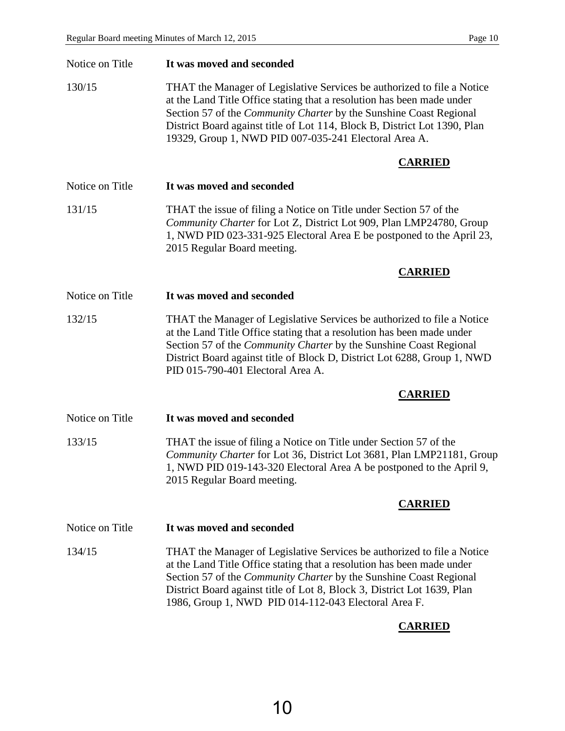| Notice on Title | It was moved and seconded                                                                                                                                                                                                                                                                                                                                            |
|-----------------|----------------------------------------------------------------------------------------------------------------------------------------------------------------------------------------------------------------------------------------------------------------------------------------------------------------------------------------------------------------------|
| 130/15          | THAT the Manager of Legislative Services be authorized to file a Notice<br>at the Land Title Office stating that a resolution has been made under<br>Section 57 of the <i>Community Charter</i> by the Sunshine Coast Regional<br>District Board against title of Lot 114, Block B, District Lot 1390, Plan<br>19329, Group 1, NWD PID 007-035-241 Electoral Area A. |
|                 | <b>CARRIED</b>                                                                                                                                                                                                                                                                                                                                                       |
| Notice on Title | It was moved and seconded                                                                                                                                                                                                                                                                                                                                            |
| 131/15          | THAT the issue of filing a Notice on Title under Section 57 of the<br>Community Charter for Lot Z, District Lot 909, Plan LMP24780, Group<br>1, NWD PID 023-331-925 Electoral Area E be postponed to the April 23,<br>2015 Regular Board meeting.                                                                                                                    |
|                 | <b>CARRIED</b>                                                                                                                                                                                                                                                                                                                                                       |
| Notice on Title | It was moved and seconded                                                                                                                                                                                                                                                                                                                                            |
| 132/15          | THAT the Manager of Legislative Services be authorized to file a Notice<br>at the Land Title Office stating that a resolution has been made under<br>Section 57 of the Community Charter by the Sunshine Coast Regional<br>District Board against title of Block D, District Lot 6288, Group 1, NWD<br>PID 015-790-401 Electoral Area A.                             |
|                 | <b>CARRIED</b>                                                                                                                                                                                                                                                                                                                                                       |
| Notice on Title | It was moved and seconded                                                                                                                                                                                                                                                                                                                                            |
| 133/15          | THAT the issue of filing a Notice on Title under Section 57 of the<br>Community Charter for Lot 36, District Lot 3681, Plan LMP21181, Group<br>1, NWD PID 019-143-320 Electoral Area A be postponed to the April 9,<br>2015 Regular Board meeting.                                                                                                                   |
|                 | <b>CARRIED</b>                                                                                                                                                                                                                                                                                                                                                       |
| Notice on Title | It was moved and seconded                                                                                                                                                                                                                                                                                                                                            |
| 134/15          | THAT the Manager of Legislative Services be authorized to file a Notice<br>at the Land Title Office stating that a resolution has been made under<br>Section 57 of the Community Charter by the Sunshine Coast Regional<br>District Board against title of Lot 8, Block 3, District Lot 1639, Plan<br>1986, Group 1, NWD PID 014-112-043 Electoral Area F.           |
|                 | <b>CARRIED</b>                                                                                                                                                                                                                                                                                                                                                       |

10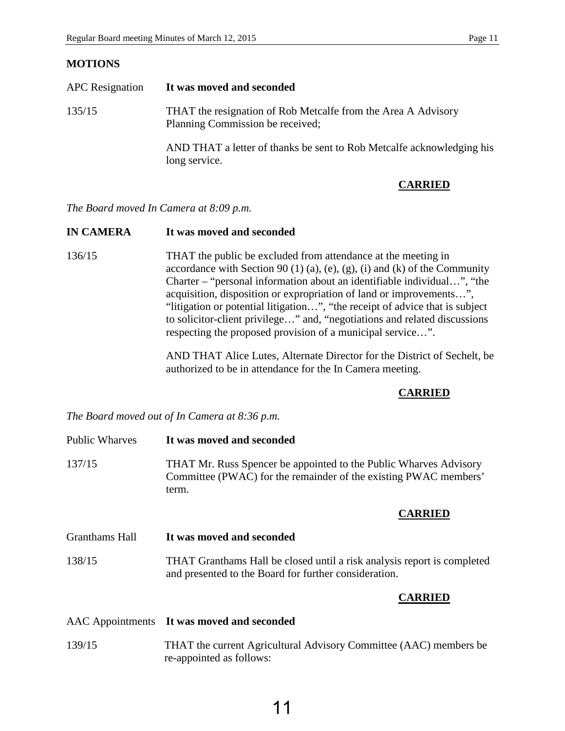#### **MOTIONS**

| <b>APC</b> Resignation | It was moved and seconded                                                                         |
|------------------------|---------------------------------------------------------------------------------------------------|
| 135/15                 | THAT the resignation of Rob Metcalfe from the Area A Advisory<br>Planning Commission be received; |
|                        | AND THAT a letter of thanks be sent to Rob Metcalfe acknowledging his<br>long service.            |

#### **CARRIED**

*The Board moved In Camera at 8:09 p.m.*

#### **IN CAMERA It was moved and seconded**

136/15 THAT the public be excluded from attendance at the meeting in accordance with Section 90 (1) (a), (e), (g), (i) and (k) of the Community Charter – "personal information about an identifiable individual…", "the acquisition, disposition or expropriation of land or improvements…", "litigation or potential litigation…", "the receipt of advice that is subject to solicitor-client privilege…" and, "negotiations and related discussions respecting the proposed provision of a municipal service…".

> AND THAT Alice Lutes, Alternate Director for the District of Sechelt, be authorized to be in attendance for the In Camera meeting.

#### **CARRIED**

*The Board moved out of In Camera at 8:36 p.m.* 

| <b>Public Wharves</b> | It was moved and seconded                                                                                                                      |  |
|-----------------------|------------------------------------------------------------------------------------------------------------------------------------------------|--|
| 137/15                | THAT Mr. Russ Spencer be appointed to the Public Wharves Advisory<br>Committee (PWAC) for the remainder of the existing PWAC members'<br>term. |  |
|                       | <b>CARRIED</b>                                                                                                                                 |  |
| Granthams Hall        | It was moved and seconded                                                                                                                      |  |
| 138/15                | THAT Granthams Hall be closed until a risk analysis report is completed<br>and presented to the Board for further consideration.               |  |
|                       | <b>CARRIED</b>                                                                                                                                 |  |
|                       | AAC Appointments It was moved and seconded                                                                                                     |  |
| 139/15                | THAT the current Agricultural Advisory Committee (AAC) members be<br>re-appointed as follows:                                                  |  |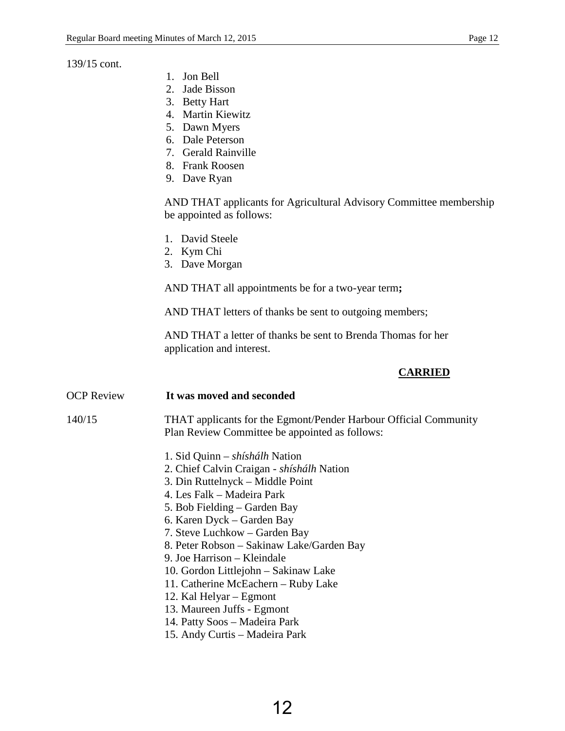#### 139/15 cont.

- 1. Jon Bell
- 2. Jade Bisson
- 3. Betty Hart
- 4. Martin Kiewitz
- 5. Dawn Myers
- 6. Dale Peterson
- 7. Gerald Rainville
- 8. Frank Roosen
- 9. Dave Ryan

AND THAT applicants for Agricultural Advisory Committee membership be appointed as follows:

- 1. David Steele
- 2. Kym Chi
- 3. Dave Morgan

AND THAT all appointments be for a two-year term**;** 

AND THAT letters of thanks be sent to outgoing members;

AND THAT a letter of thanks be sent to Brenda Thomas for her application and interest.

## **CARRIED**

| OCP Review | It was moved and seconded                                                                                          |
|------------|--------------------------------------------------------------------------------------------------------------------|
| 140/15     | THAT applicants for the Egmont/Pender Harbour Official Community<br>Plan Review Committee be appointed as follows: |
|            | 1. Sid Quinn – <i>shíshálh</i> Nation                                                                              |
|            | 2. Chief Calvin Craigan - <i>shíshálh</i> Nation                                                                   |
|            | 3. Din Ruttelnyck – Middle Point                                                                                   |
|            | 4. Les Falk – Madeira Park                                                                                         |
|            | 5. Bob Fielding – Garden Bay                                                                                       |
|            | 6. Karen Dyck – Garden Bay                                                                                         |
|            | 7. Steve Luchkow – Garden Bay                                                                                      |
|            | 8. Peter Robson – Sakinaw Lake/Garden Bay                                                                          |
|            | 9. Joe Harrison – Kleindale                                                                                        |
|            | 10. Gordon Littlejohn – Sakinaw Lake                                                                               |
|            | 11. Catherine McEachern – Ruby Lake                                                                                |
|            | 12. Kal Helyar – Egmont                                                                                            |
|            | 13. Maureen Juffs - Egmont                                                                                         |
|            | 14. Patty Soos – Madeira Park                                                                                      |
|            |                                                                                                                    |

15. Andy Curtis – Madeira Park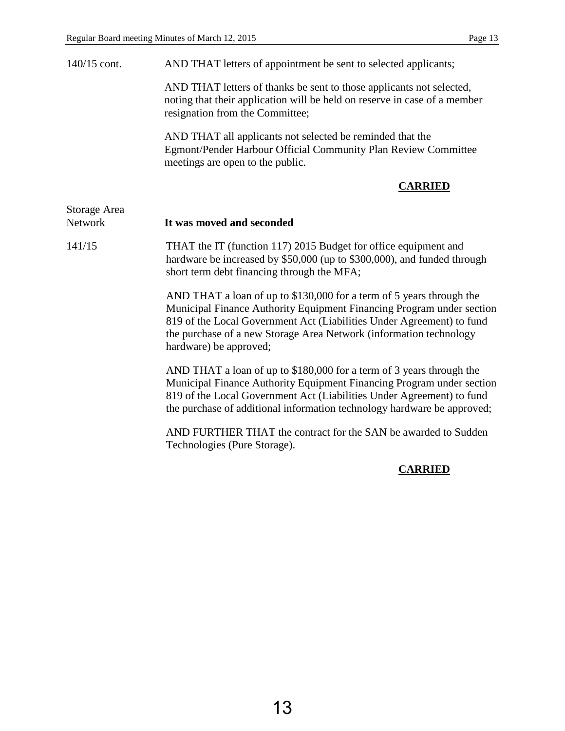| $140/15$ cont. |  | AND THAT letters of appointment be sent to selected applicants; |
|----------------|--|-----------------------------------------------------------------|
|                |  |                                                                 |

AND THAT letters of thanks be sent to those applicants not selected, noting that their application will be held on reserve in case of a member resignation from the Committee;

AND THAT all applicants not selected be reminded that the Egmont/Pender Harbour Official Community Plan Review Committee meetings are open to the public.

#### **CARRIED**

| Storage Area<br><b>Network</b> | It was moved and seconded                                                                                                                                                                                                                                                                                              |
|--------------------------------|------------------------------------------------------------------------------------------------------------------------------------------------------------------------------------------------------------------------------------------------------------------------------------------------------------------------|
| 141/15                         | THAT the IT (function 117) 2015 Budget for office equipment and<br>hardware be increased by \$50,000 (up to \$300,000), and funded through<br>short term debt financing through the MFA;                                                                                                                               |
|                                | AND THAT a loan of up to \$130,000 for a term of 5 years through the<br>Municipal Finance Authority Equipment Financing Program under section<br>819 of the Local Government Act (Liabilities Under Agreement) to fund<br>the purchase of a new Storage Area Network (information technology<br>hardware) be approved; |
|                                | AND THAT a loan of up to \$180,000 for a term of 3 years through the<br>Municipal Finance Authority Equipment Financing Program under section<br>819 of the Local Government Act (Liabilities Under Agreement) to fund<br>the purchase of additional information technology hardware be approved;                      |
|                                | AND FURTHER THAT the contract for the SAN be awarded to Sudden<br>Technologies (Pure Storage).                                                                                                                                                                                                                         |
|                                | $\alpha$ ddien                                                                                                                                                                                                                                                                                                         |

#### **CARRIED**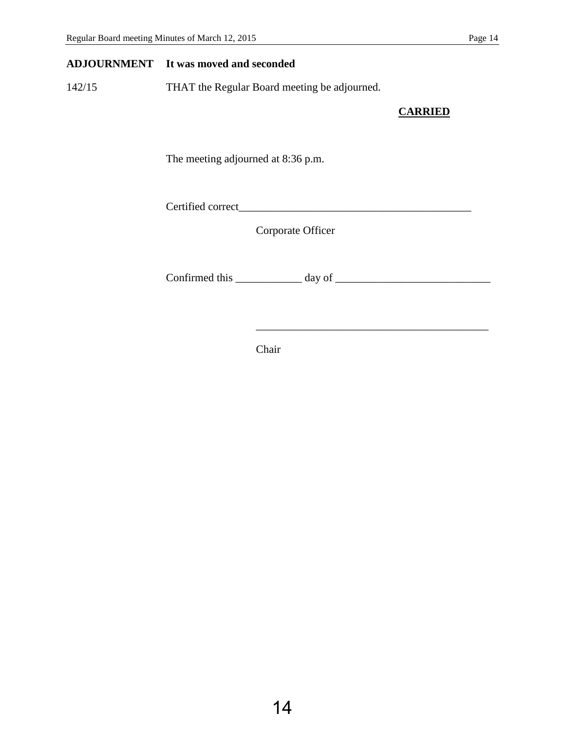#### **ADJOURNMENT It was moved and seconded**

142/15 THAT the Regular Board meeting be adjourned.

## **CARRIED**

The meeting adjourned at 8:36 p.m.

Certified correct\_\_\_\_\_\_\_\_\_\_\_\_\_\_\_\_\_\_\_\_\_\_\_\_\_\_\_\_\_\_\_\_\_\_\_\_\_\_\_\_\_\_

Corporate Officer

Confirmed this  $\_\_\_\_\_\_\_\$  day of  $\_\_\_\_\_\_\_\_\_\_\_$ 

 $\overline{\phantom{a}}$  ,  $\overline{\phantom{a}}$  ,  $\overline{\phantom{a}}$  ,  $\overline{\phantom{a}}$  ,  $\overline{\phantom{a}}$  ,  $\overline{\phantom{a}}$  ,  $\overline{\phantom{a}}$  ,  $\overline{\phantom{a}}$  ,  $\overline{\phantom{a}}$  ,  $\overline{\phantom{a}}$  ,  $\overline{\phantom{a}}$  ,  $\overline{\phantom{a}}$  ,  $\overline{\phantom{a}}$  ,  $\overline{\phantom{a}}$  ,  $\overline{\phantom{a}}$  ,  $\overline{\phantom{a}}$ 

Chair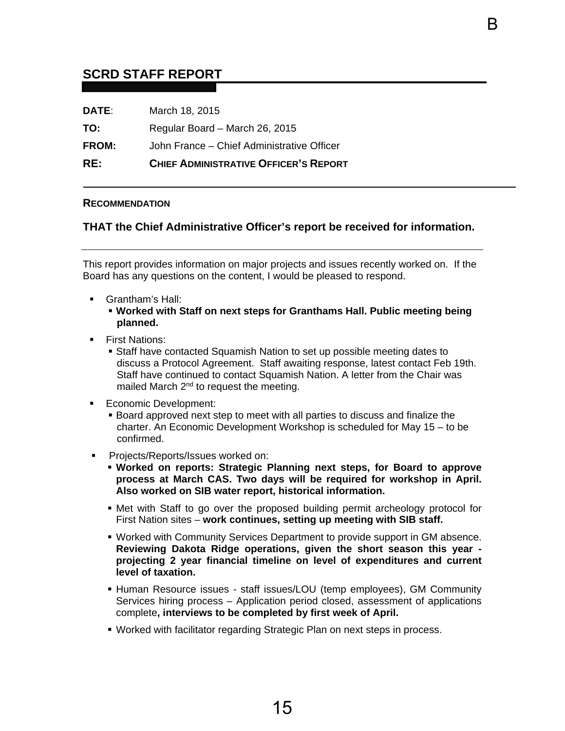# <span id="page-17-0"></span>**SCRD STAFF REPORT**

| RE:          | <b>CHIEF ADMINISTRATIVE OFFICER'S REPORT</b> |
|--------------|----------------------------------------------|
| <b>FROM:</b> | John France – Chief Administrative Officer   |
| TO:          | Regular Board - March 26, 2015               |
| DATE:        | March 18, 2015                               |

#### **RECOMMENDATION**

#### **THAT the Chief Administrative Officer's report be received for information.**

B

This report provides information on major projects and issues recently worked on. If the Board has any questions on the content, I would be pleased to respond.

- Grantham's Hall:
	- **Worked with Staff on next steps for Granthams Hall. Public meeting being planned.**
- **First Nations:** 
	- Staff have contacted Squamish Nation to set up possible meeting dates to discuss a Protocol Agreement. Staff awaiting response, latest contact Feb 19th. Staff have continued to contact Squamish Nation. A letter from the Chair was mailed March 2nd to request the meeting.
- **Economic Development:** 
	- Board approved next step to meet with all parties to discuss and finalize the charter. An Economic Development Workshop is scheduled for May 15 – to be confirmed.
- **Projects/Reports/Issues worked on:** 
	- **Worked on reports: Strategic Planning next steps, for Board to approve process at March CAS. Two days will be required for workshop in April. Also worked on SIB water report, historical information.**
	- Met with Staff to go over the proposed building permit archeology protocol for First Nation sites – **work continues, setting up meeting with SIB staff.**
	- Worked with Community Services Department to provide support in GM absence. **Reviewing Dakota Ridge operations, given the short season this year projecting 2 year financial timeline on level of expenditures and current level of taxation.**
	- Human Resource issues staff issues/LOU (temp employees), GM Community Services hiring process – Application period closed, assessment of applications complete**, interviews to be completed by first week of April.**
	- Worked with facilitator regarding Strategic Plan on next steps in process.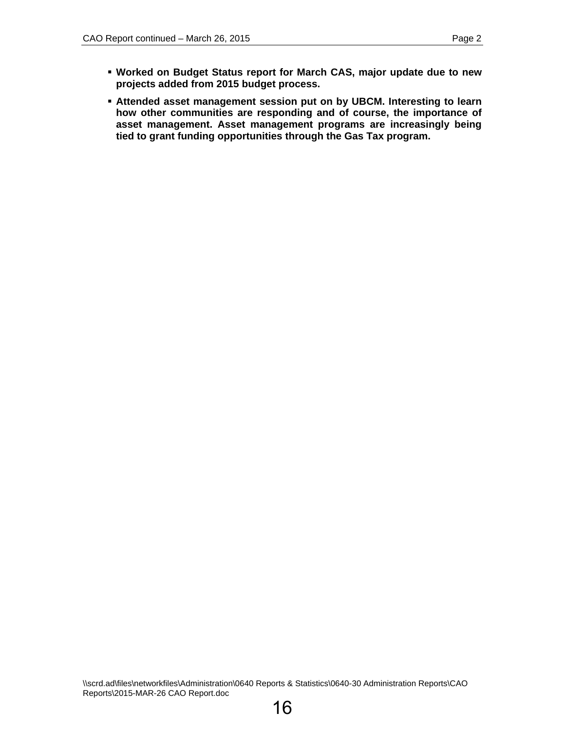**Attended asset management session put on by UBCM. Interesting to learn how other communities are responding and of course, the importance of asset management. Asset management programs are increasingly being tied to grant funding opportunities through the Gas Tax program.**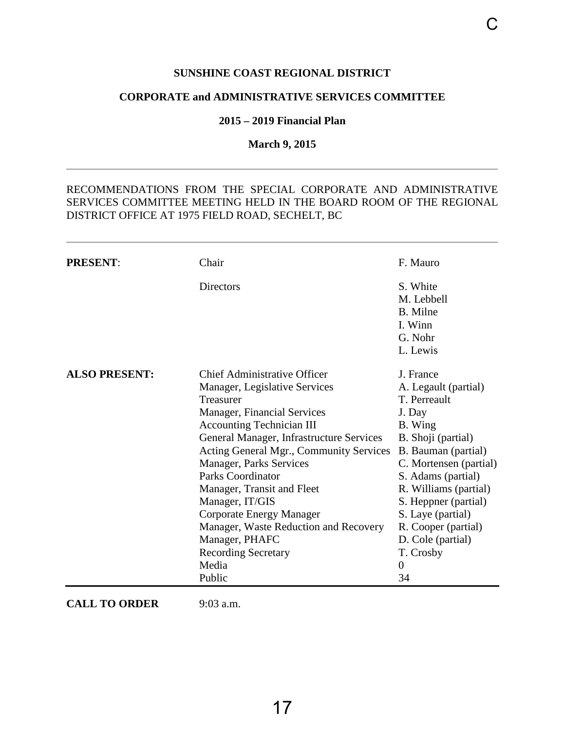## **SUNSHINE COAST REGIONAL DISTRICT**

#### <span id="page-19-0"></span>**CORPORATE and ADMINISTRATIVE SERVICES COMMITTEE**

#### **2015 – 2019 Financial Plan**

## **March 9, 2015**

## RECOMMENDATIONS FROM THE SPECIAL CORPORATE AND ADMINISTRATIVE SERVICES COMMITTEE MEETING HELD IN THE BOARD ROOM OF THE REGIONAL DISTRICT OFFICE AT 1975 FIELD ROAD, SECHELT, BC

| <b>PRESENT:</b>      | Chair                                                                                                                                                                                                                                                                                                                                                                                                                                                                                                     | F. Mauro                                                                                                                                                                                                                                                                                                             |
|----------------------|-----------------------------------------------------------------------------------------------------------------------------------------------------------------------------------------------------------------------------------------------------------------------------------------------------------------------------------------------------------------------------------------------------------------------------------------------------------------------------------------------------------|----------------------------------------------------------------------------------------------------------------------------------------------------------------------------------------------------------------------------------------------------------------------------------------------------------------------|
|                      | <b>Directors</b>                                                                                                                                                                                                                                                                                                                                                                                                                                                                                          | S. White<br>M. Lebbell<br><b>B.</b> Milne<br>I. Winn<br>G. Nohr<br>L. Lewis                                                                                                                                                                                                                                          |
| <b>ALSO PRESENT:</b> | <b>Chief Administrative Officer</b><br>Manager, Legislative Services<br>Treasurer<br><b>Manager, Financial Services</b><br><b>Accounting Technician III</b><br>General Manager, Infrastructure Services<br>Acting General Mgr., Community Services<br><b>Manager, Parks Services</b><br><b>Parks Coordinator</b><br>Manager, Transit and Fleet<br>Manager, IT/GIS<br>Corporate Energy Manager<br>Manager, Waste Reduction and Recovery<br>Manager, PHAFC<br><b>Recording Secretary</b><br>Media<br>Public | J. France<br>A. Legault (partial)<br>T. Perreault<br>J. Day<br>B. Wing<br>B. Shoji (partial)<br>B. Bauman (partial)<br>C. Mortensen (partial)<br>S. Adams (partial)<br>R. Williams (partial)<br>S. Heppner (partial)<br>S. Laye (partial)<br>R. Cooper (partial)<br>D. Cole (partial)<br>T. Crosby<br>$\theta$<br>34 |

**CALL TO ORDER** 9:03 a.m.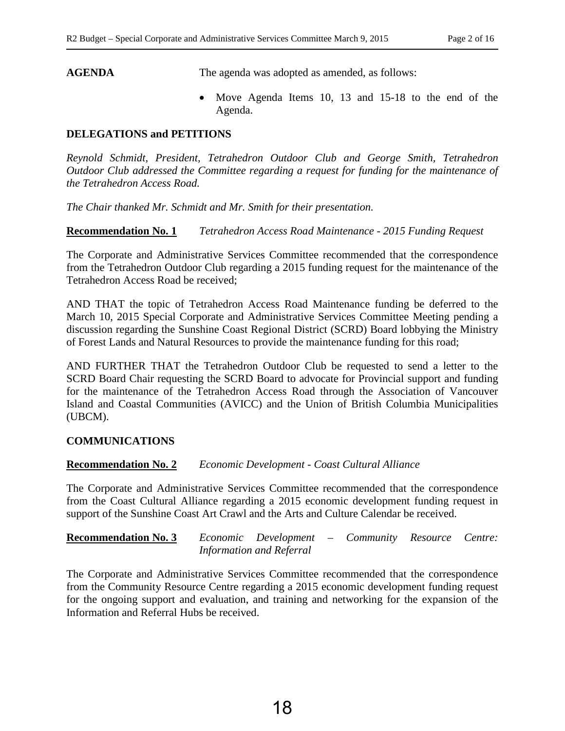AGENDA The agenda was adopted as amended, as follows:

• Move Agenda Items 10, 13 and 15-18 to the end of the Agenda.

#### **DELEGATIONS and PETITIONS**

*Reynold Schmidt, President, Tetrahedron Outdoor Club and George Smith, Tetrahedron Outdoor Club addressed the Committee regarding a request for funding for the maintenance of the Tetrahedron Access Road.* 

*The Chair thanked Mr. Schmidt and Mr. Smith for their presentation.* 

**Recommendation No. 1** *Tetrahedron Access Road Maintenance - 2015 Funding Request*

The Corporate and Administrative Services Committee recommended that the correspondence from the Tetrahedron Outdoor Club regarding a 2015 funding request for the maintenance of the Tetrahedron Access Road be received;

AND THAT the topic of Tetrahedron Access Road Maintenance funding be deferred to the March 10, 2015 Special Corporate and Administrative Services Committee Meeting pending a discussion regarding the Sunshine Coast Regional District (SCRD) Board lobbying the Ministry of Forest Lands and Natural Resources to provide the maintenance funding for this road;

AND FURTHER THAT the Tetrahedron Outdoor Club be requested to send a letter to the SCRD Board Chair requesting the SCRD Board to advocate for Provincial support and funding for the maintenance of the Tetrahedron Access Road through the Association of Vancouver Island and Coastal Communities (AVICC) and the Union of British Columbia Municipalities (UBCM).

#### **COMMUNICATIONS**

#### **Recommendation No. 2** *Economic Development - Coast Cultural Alliance*

The Corporate and Administrative Services Committee recommended that the correspondence from the Coast Cultural Alliance regarding a 2015 economic development funding request in support of the Sunshine Coast Art Crawl and the Arts and Culture Calendar be received.

**Recommendation No. 3** *Economic Development – Community Resource Centre: Information and Referral*

The Corporate and Administrative Services Committee recommended that the correspondence from the Community Resource Centre regarding a 2015 economic development funding request for the ongoing support and evaluation, and training and networking for the expansion of the Information and Referral Hubs be received.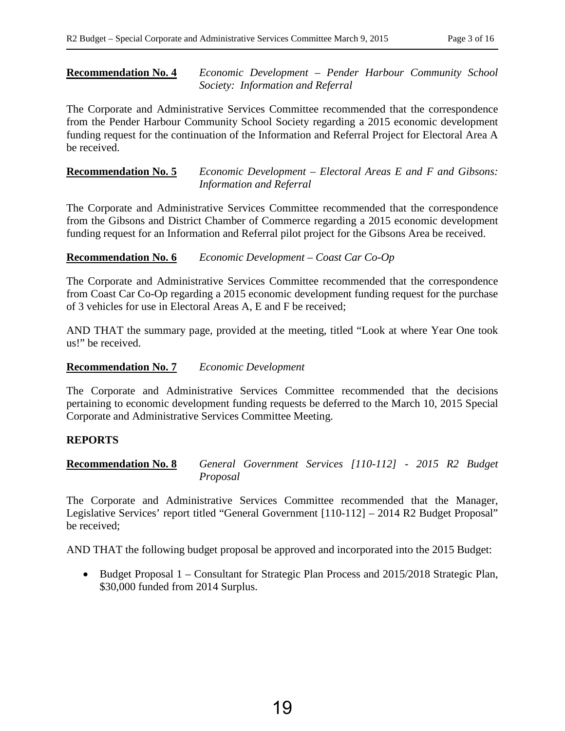### **Recommendation No. 4** *Economic Development – Pender Harbour Community School Society: Information and Referral*

The Corporate and Administrative Services Committee recommended that the correspondence from the Pender Harbour Community School Society regarding a 2015 economic development funding request for the continuation of the Information and Referral Project for Electoral Area A be received.

**Recommendation No. 5** *Economic Development – Electoral Areas E and F and Gibsons: Information and Referral*

The Corporate and Administrative Services Committee recommended that the correspondence from the Gibsons and District Chamber of Commerce regarding a 2015 economic development funding request for an Information and Referral pilot project for the Gibsons Area be received.

**Recommendation No. 6** *Economic Development – Coast Car Co-Op*

The Corporate and Administrative Services Committee recommended that the correspondence from Coast Car Co-Op regarding a 2015 economic development funding request for the purchase of 3 vehicles for use in Electoral Areas A, E and F be received;

AND THAT the summary page, provided at the meeting, titled "Look at where Year One took us!" be received.

#### **Recommendation No. 7** *Economic Development*

The Corporate and Administrative Services Committee recommended that the decisions pertaining to economic development funding requests be deferred to the March 10, 2015 Special Corporate and Administrative Services Committee Meeting.

## **REPORTS**

**Recommendation No. 8** *General Government Services [110-112] - 2015 R2 Budget Proposal* 

The Corporate and Administrative Services Committee recommended that the Manager, Legislative Services' report titled "General Government [110-112] – 2014 R2 Budget Proposal" be received;

AND THAT the following budget proposal be approved and incorporated into the 2015 Budget:

• Budget Proposal 1 – Consultant for Strategic Plan Process and 2015/2018 Strategic Plan, \$30,000 funded from 2014 Surplus.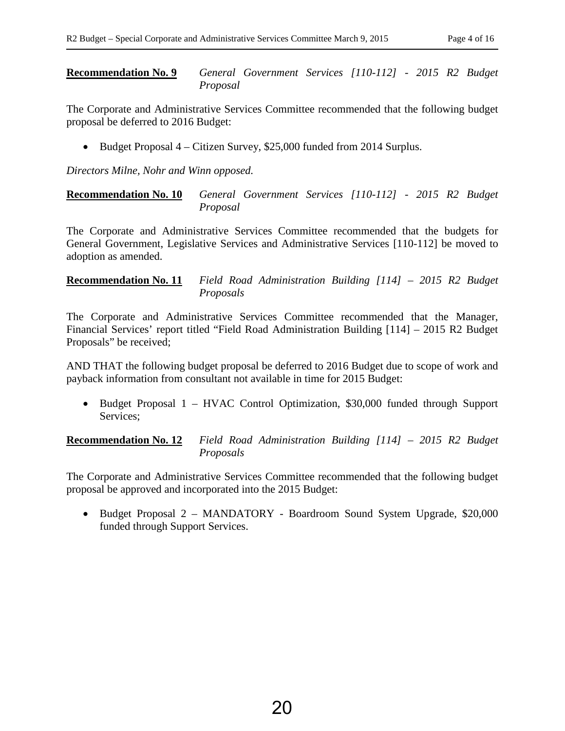#### **Recommendation No. 9** *General Government Services [110-112] - 2015 R2 Budget Proposal*

The Corporate and Administrative Services Committee recommended that the following budget proposal be deferred to 2016 Budget:

• Budget Proposal 4 – Citizen Survey, \$25,000 funded from 2014 Surplus.

*Directors Milne, Nohr and Winn opposed.* 

**Recommendation No. 10** *General Government Services [110-112] - 2015 R2 Budget Proposal* 

The Corporate and Administrative Services Committee recommended that the budgets for General Government, Legislative Services and Administrative Services [110-112] be moved to adoption as amended.

#### **Recommendation No. 11** *Field Road Administration Building [114] – 2015 R2 Budget Proposals*

The Corporate and Administrative Services Committee recommended that the Manager, Financial Services' report titled "Field Road Administration Building [114] – 2015 R2 Budget Proposals" be received;

AND THAT the following budget proposal be deferred to 2016 Budget due to scope of work and payback information from consultant not available in time for 2015 Budget:

• Budget Proposal 1 – HVAC Control Optimization, \$30,000 funded through Support Services;

**Recommendation No. 12** *Field Road Administration Building [114] – 2015 R2 Budget Proposals* 

The Corporate and Administrative Services Committee recommended that the following budget proposal be approved and incorporated into the 2015 Budget:

• Budget Proposal 2 – MANDATORY - Boardroom Sound System Upgrade, \$20,000 funded through Support Services.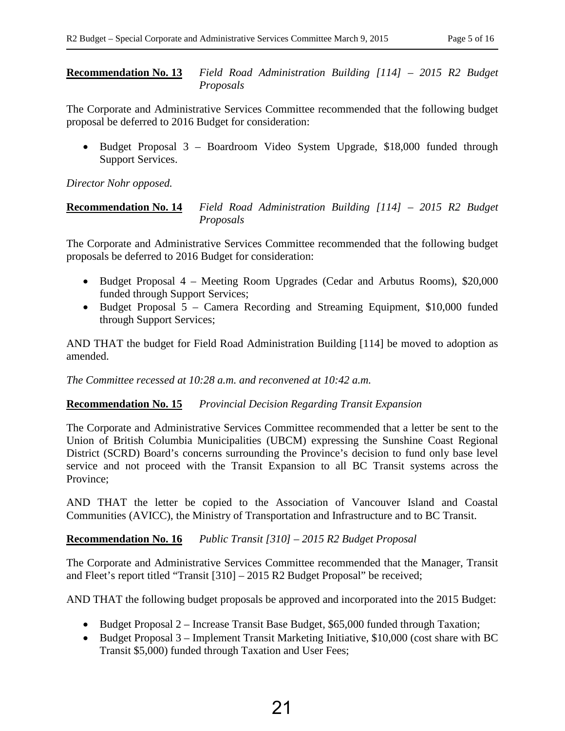#### **Recommendation No. 13** *Field Road Administration Building [114] – 2015 R2 Budget Proposals*

The Corporate and Administrative Services Committee recommended that the following budget proposal be deferred to 2016 Budget for consideration:

• Budget Proposal 3 – Boardroom Video System Upgrade, \$18,000 funded through Support Services.

*Director Nohr opposed.* 

## **Recommendation No. 14** *Field Road Administration Building [114] – 2015 R2 Budget Proposals*

The Corporate and Administrative Services Committee recommended that the following budget proposals be deferred to 2016 Budget for consideration:

- Budget Proposal 4 Meeting Room Upgrades (Cedar and Arbutus Rooms), \$20,000 funded through Support Services;
- Budget Proposal 5 Camera Recording and Streaming Equipment, \$10,000 funded through Support Services;

AND THAT the budget for Field Road Administration Building [114] be moved to adoption as amended.

*The Committee recessed at 10:28 a.m. and reconvened at 10:42 a.m.* 

## **Recommendation No. 15** *Provincial Decision Regarding Transit Expansion*

The Corporate and Administrative Services Committee recommended that a letter be sent to the Union of British Columbia Municipalities (UBCM) expressing the Sunshine Coast Regional District (SCRD) Board's concerns surrounding the Province's decision to fund only base level service and not proceed with the Transit Expansion to all BC Transit systems across the Province;

AND THAT the letter be copied to the Association of Vancouver Island and Coastal Communities (AVICC), the Ministry of Transportation and Infrastructure and to BC Transit.

## **Recommendation No. 16** *Public Transit [310] – 2015 R2 Budget Proposal*

The Corporate and Administrative Services Committee recommended that the Manager, Transit and Fleet's report titled "Transit [310] – 2015 R2 Budget Proposal" be received;

AND THAT the following budget proposals be approved and incorporated into the 2015 Budget:

- Budget Proposal 2 Increase Transit Base Budget, \$65,000 funded through Taxation;
- Budget Proposal 3 Implement Transit Marketing Initiative, \$10,000 (cost share with BC Transit \$5,000) funded through Taxation and User Fees;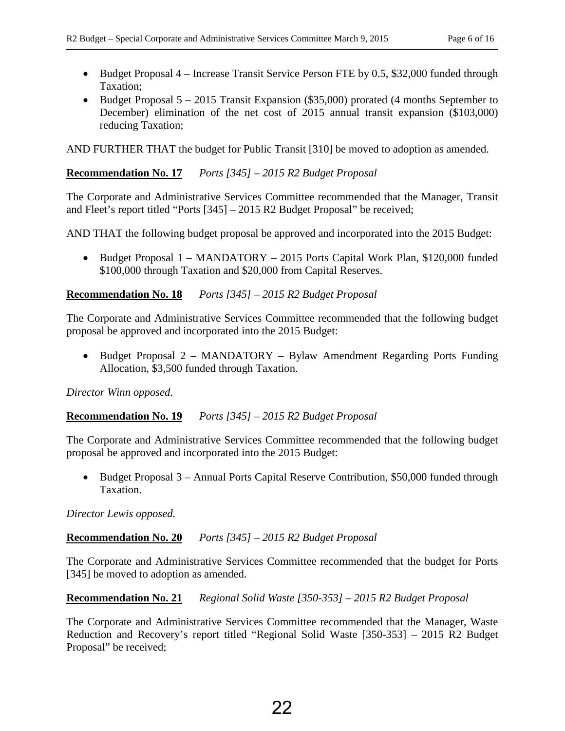- Budget Proposal 4 Increase Transit Service Person FTE by 0.5, \$32,000 funded through Taxation;
- Budget Proposal 5 2015 Transit Expansion (\$35,000) prorated (4 months September to December) elimination of the net cost of 2015 annual transit expansion (\$103,000) reducing Taxation;

AND FURTHER THAT the budget for Public Transit [310] be moved to adoption as amended.

**Recommendation No. 17** *Ports [345] – 2015 R2 Budget Proposal* 

The Corporate and Administrative Services Committee recommended that the Manager, Transit and Fleet's report titled "Ports [345] – 2015 R2 Budget Proposal" be received;

AND THAT the following budget proposal be approved and incorporated into the 2015 Budget:

• Budget Proposal 1 – MANDATORY – 2015 Ports Capital Work Plan, \$120,000 funded \$100,000 through Taxation and \$20,000 from Capital Reserves.

**Recommendation No. 18** *Ports [345] – 2015 R2 Budget Proposal* 

The Corporate and Administrative Services Committee recommended that the following budget proposal be approved and incorporated into the 2015 Budget:

• Budget Proposal 2 – MANDATORY – Bylaw Amendment Regarding Ports Funding Allocation, \$3,500 funded through Taxation.

*Director Winn opposed.* 

## **Recommendation No. 19** *Ports [345] – 2015 R2 Budget Proposal*

The Corporate and Administrative Services Committee recommended that the following budget proposal be approved and incorporated into the 2015 Budget:

• Budget Proposal 3 – Annual Ports Capital Reserve Contribution, \$50,000 funded through Taxation.

*Director Lewis opposed.* 

## **Recommendation No. 20** *Ports [345] – 2015 R2 Budget Proposal*

The Corporate and Administrative Services Committee recommended that the budget for Ports [345] be moved to adoption as amended.

#### **Recommendation No. 21** *Regional Solid Waste [350-353] – 2015 R2 Budget Proposal*

The Corporate and Administrative Services Committee recommended that the Manager, Waste Reduction and Recovery's report titled "Regional Solid Waste [350-353] – 2015 R2 Budget Proposal" be received;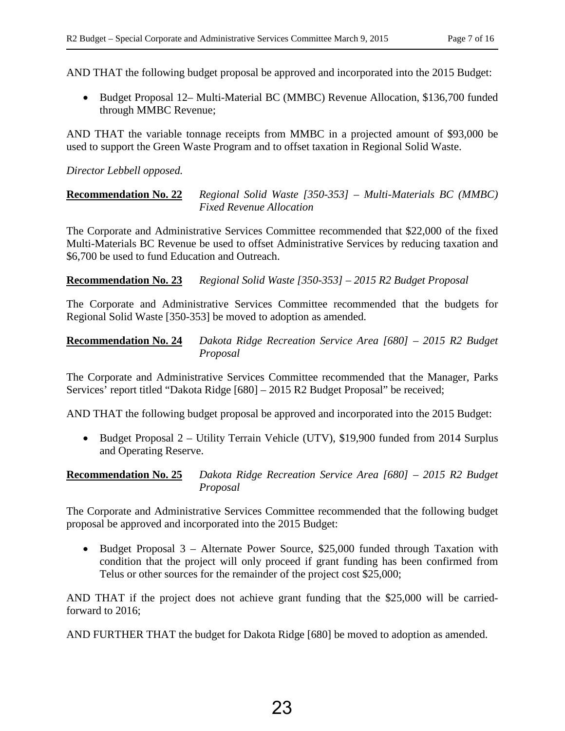AND THAT the following budget proposal be approved and incorporated into the 2015 Budget:

• Budget Proposal 12– Multi-Material BC (MMBC) Revenue Allocation, \$136,700 funded through MMBC Revenue;

AND THAT the variable tonnage receipts from MMBC in a projected amount of \$93,000 be used to support the Green Waste Program and to offset taxation in Regional Solid Waste.

## *Director Lebbell opposed.*

**Recommendation No. 22** *Regional Solid Waste [350-353] – Multi-Materials BC (MMBC) Fixed Revenue Allocation*

The Corporate and Administrative Services Committee recommended that \$22,000 of the fixed Multi-Materials BC Revenue be used to offset Administrative Services by reducing taxation and \$6,700 be used to fund Education and Outreach.

**Recommendation No. 23** *Regional Solid Waste [350-353] – 2015 R2 Budget Proposal* 

The Corporate and Administrative Services Committee recommended that the budgets for Regional Solid Waste [350-353] be moved to adoption as amended.

**Recommendation No. 24** *Dakota Ridge Recreation Service Area [680] – 2015 R2 Budget Proposal* 

The Corporate and Administrative Services Committee recommended that the Manager, Parks Services' report titled "Dakota Ridge [680] – 2015 R2 Budget Proposal" be received;

AND THAT the following budget proposal be approved and incorporated into the 2015 Budget:

• Budget Proposal 2 – Utility Terrain Vehicle (UTV), \$19,900 funded from 2014 Surplus and Operating Reserve.

**Recommendation No. 25** *Dakota Ridge Recreation Service Area [680] – 2015 R2 Budget Proposal* 

The Corporate and Administrative Services Committee recommended that the following budget proposal be approved and incorporated into the 2015 Budget:

• Budget Proposal 3 – Alternate Power Source, \$25,000 funded through Taxation with condition that the project will only proceed if grant funding has been confirmed from Telus or other sources for the remainder of the project cost \$25,000;

AND THAT if the project does not achieve grant funding that the \$25,000 will be carriedforward to 2016;

AND FURTHER THAT the budget for Dakota Ridge [680] be moved to adoption as amended.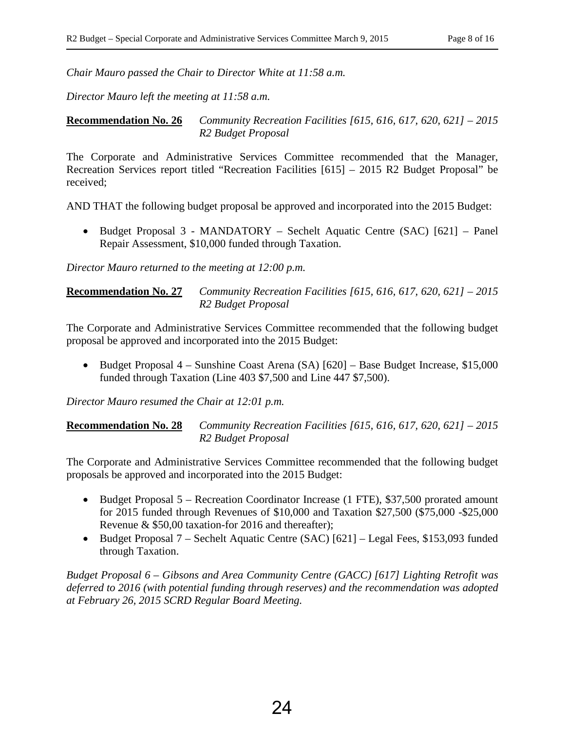*Chair Mauro passed the Chair to Director White at 11:58 a.m.* 

*Director Mauro left the meeting at 11:58 a.m.* 

**Recommendation No. 26** *Community Recreation Facilities [615, 616, 617, 620, 621] – 2015 R2 Budget Proposal* 

The Corporate and Administrative Services Committee recommended that the Manager, Recreation Services report titled "Recreation Facilities [615] – 2015 R2 Budget Proposal" be received;

AND THAT the following budget proposal be approved and incorporated into the 2015 Budget:

• Budget Proposal 3 - MANDATORY – Sechelt Aquatic Centre (SAC) [621] – Panel Repair Assessment, \$10,000 funded through Taxation.

*Director Mauro returned to the meeting at 12:00 p.m.* 

#### **Recommendation No. 27** *Community Recreation Facilities [615, 616, 617, 620, 621] – 2015 R2 Budget Proposal*

The Corporate and Administrative Services Committee recommended that the following budget proposal be approved and incorporated into the 2015 Budget:

• Budget Proposal 4 – Sunshine Coast Arena (SA) [620] – Base Budget Increase, \$15,000 funded through Taxation (Line 403 \$7,500 and Line 447 \$7,500).

*Director Mauro resumed the Chair at 12:01 p.m.* 

**Recommendation No. 28** *Community Recreation Facilities [615, 616, 617, 620, 621] – 2015 R2 Budget Proposal* 

The Corporate and Administrative Services Committee recommended that the following budget proposals be approved and incorporated into the 2015 Budget:

- Budget Proposal 5 Recreation Coordinator Increase (1 FTE), \$37,500 prorated amount for 2015 funded through Revenues of \$10,000 and Taxation \$27,500 (\$75,000 -\$25,000 Revenue & \$50,00 taxation-for 2016 and thereafter);
- Budget Proposal 7 Sechelt Aquatic Centre (SAC) [621] Legal Fees, \$153,093 funded through Taxation.

*Budget Proposal 6 – Gibsons and Area Community Centre (GACC) [617] Lighting Retrofit was deferred to 2016 (with potential funding through reserves) and the recommendation was adopted at February 26, 2015 SCRD Regular Board Meeting.*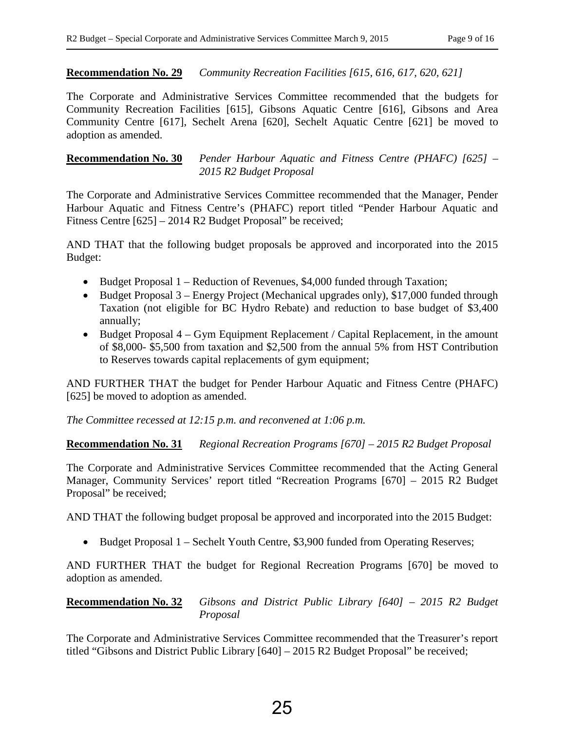#### **Recommendation No. 29** *Community Recreation Facilities [615, 616, 617, 620, 621]*

The Corporate and Administrative Services Committee recommended that the budgets for Community Recreation Facilities [615], Gibsons Aquatic Centre [616], Gibsons and Area Community Centre [617], Sechelt Arena [620], Sechelt Aquatic Centre [621] be moved to adoption as amended.

#### **Recommendation No. 30** *Pender Harbour Aquatic and Fitness Centre (PHAFC) [625] – 2015 R2 Budget Proposal*

The Corporate and Administrative Services Committee recommended that the Manager, Pender Harbour Aquatic and Fitness Centre's (PHAFC) report titled "Pender Harbour Aquatic and Fitness Centre [625] – 2014 R2 Budget Proposal" be received;

AND THAT that the following budget proposals be approved and incorporated into the 2015 Budget:

- Budget Proposal 1 Reduction of Revenues, \$4,000 funded through Taxation;
- Budget Proposal 3 Energy Project (Mechanical upgrades only), \$17,000 funded through Taxation (not eligible for BC Hydro Rebate) and reduction to base budget of \$3,400 annually;
- Budget Proposal 4 Gym Equipment Replacement / Capital Replacement, in the amount of \$8,000- \$5,500 from taxation and \$2,500 from the annual 5% from HST Contribution to Reserves towards capital replacements of gym equipment;

AND FURTHER THAT the budget for Pender Harbour Aquatic and Fitness Centre (PHAFC) [625] be moved to adoption as amended.

*The Committee recessed at 12:15 p.m. and reconvened at 1:06 p.m.* 

**Recommendation No. 31** *Regional Recreation Programs [670] – 2015 R2 Budget Proposal* 

The Corporate and Administrative Services Committee recommended that the Acting General Manager, Community Services' report titled "Recreation Programs [670] – 2015 R2 Budget Proposal" be received;

AND THAT the following budget proposal be approved and incorporated into the 2015 Budget:

• Budget Proposal 1 – Sechelt Youth Centre, \$3,900 funded from Operating Reserves;

AND FURTHER THAT the budget for Regional Recreation Programs [670] be moved to adoption as amended.

**Recommendation No. 32** *Gibsons and District Public Library [640] – 2015 R2 Budget Proposal*

The Corporate and Administrative Services Committee recommended that the Treasurer's report titled "Gibsons and District Public Library [640] – 2015 R2 Budget Proposal" be received;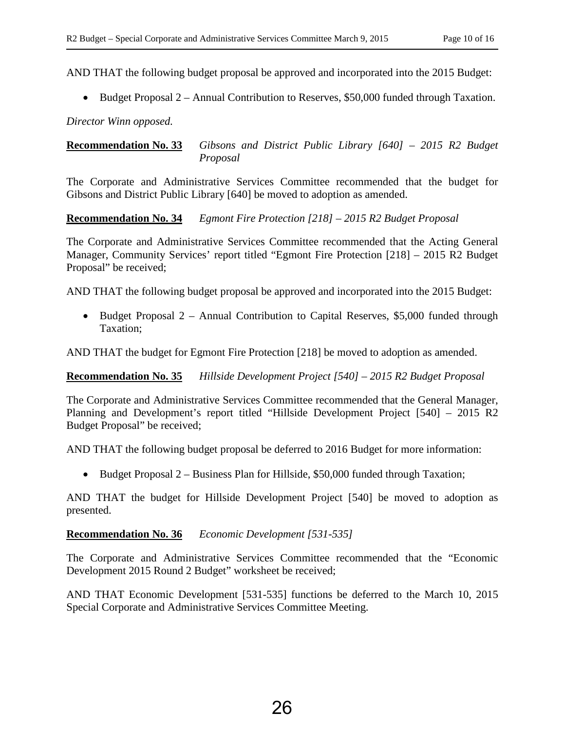AND THAT the following budget proposal be approved and incorporated into the 2015 Budget:

• Budget Proposal 2 – Annual Contribution to Reserves, \$50,000 funded through Taxation.

*Director Winn opposed.* 

**Recommendation No. 33** *Gibsons and District Public Library [640] – 2015 R2 Budget Proposal*

The Corporate and Administrative Services Committee recommended that the budget for Gibsons and District Public Library [640] be moved to adoption as amended.

**Recommendation No. 34** *Egmont Fire Protection [218] – 2015 R2 Budget Proposal* 

The Corporate and Administrative Services Committee recommended that the Acting General Manager, Community Services' report titled "Egmont Fire Protection [218] – 2015 R2 Budget Proposal" be received;

AND THAT the following budget proposal be approved and incorporated into the 2015 Budget:

• Budget Proposal 2 – Annual Contribution to Capital Reserves, \$5,000 funded through Taxation;

AND THAT the budget for Egmont Fire Protection [218] be moved to adoption as amended.

**Recommendation No. 35** *Hillside Development Project [540] – 2015 R2 Budget Proposal* 

The Corporate and Administrative Services Committee recommended that the General Manager, Planning and Development's report titled "Hillside Development Project [540] – 2015 R2 Budget Proposal" be received;

AND THAT the following budget proposal be deferred to 2016 Budget for more information:

• Budget Proposal 2 – Business Plan for Hillside, \$50,000 funded through Taxation;

AND THAT the budget for Hillside Development Project [540] be moved to adoption as presented.

**Recommendation No. 36** *Economic Development [531-535]*

The Corporate and Administrative Services Committee recommended that the "Economic Development 2015 Round 2 Budget" worksheet be received;

AND THAT Economic Development [531-535] functions be deferred to the March 10, 2015 Special Corporate and Administrative Services Committee Meeting.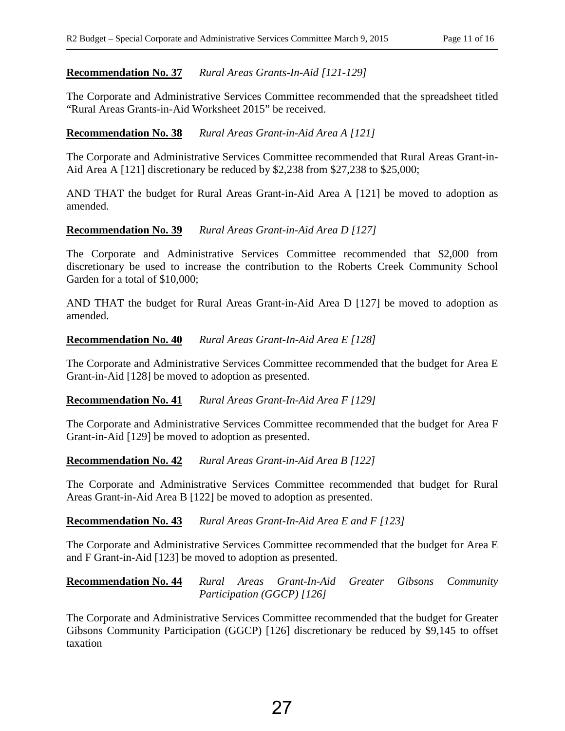#### **Recommendation No. 37** *Rural Areas Grants-In-Aid [121-129]*

The Corporate and Administrative Services Committee recommended that the spreadsheet titled "Rural Areas Grants-in-Aid Worksheet 2015" be received.

#### **Recommendation No. 38** *Rural Areas Grant-in-Aid Area A [121]*

The Corporate and Administrative Services Committee recommended that Rural Areas Grant-in-Aid Area A [121] discretionary be reduced by \$2,238 from \$27,238 to \$25,000;

AND THAT the budget for Rural Areas Grant-in-Aid Area A [121] be moved to adoption as amended.

#### **Recommendation No. 39** *Rural Areas Grant-in-Aid Area D [127]*

The Corporate and Administrative Services Committee recommended that \$2,000 from discretionary be used to increase the contribution to the Roberts Creek Community School Garden for a total of \$10,000;

AND THAT the budget for Rural Areas Grant-in-Aid Area D [127] be moved to adoption as amended.

#### **Recommendation No. 40** *Rural Areas Grant-In-Aid Area E [128]*

The Corporate and Administrative Services Committee recommended that the budget for Area E Grant-in-Aid [128] be moved to adoption as presented.

#### **Recommendation No. 41** *Rural Areas Grant-In-Aid Area F [129]*

The Corporate and Administrative Services Committee recommended that the budget for Area F Grant-in-Aid [129] be moved to adoption as presented.

#### **Recommendation No. 42** *Rural Areas Grant-in-Aid Area B [122]*

The Corporate and Administrative Services Committee recommended that budget for Rural Areas Grant-in-Aid Area B [122] be moved to adoption as presented.

#### **Recommendation No. 43** *Rural Areas Grant-In-Aid Area E and F [123]*

The Corporate and Administrative Services Committee recommended that the budget for Area E and F Grant-in-Aid [123] be moved to adoption as presented.

#### **Recommendation No. 44** *Rural Areas Grant-In-Aid Greater Gibsons Community Participation (GGCP) [126]*

The Corporate and Administrative Services Committee recommended that the budget for Greater Gibsons Community Participation (GGCP) [126] discretionary be reduced by \$9,145 to offset taxation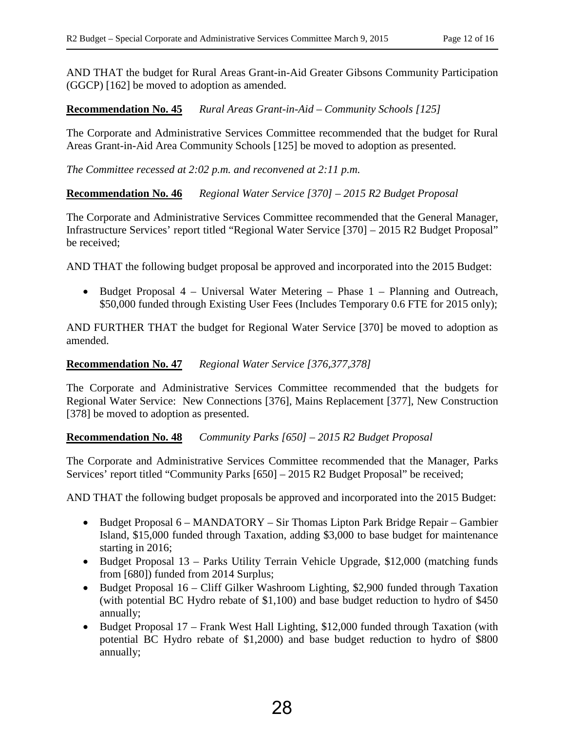AND THAT the budget for Rural Areas Grant-in-Aid Greater Gibsons Community Participation (GGCP) [162] be moved to adoption as amended.

**Recommendation No. 45** *Rural Areas Grant-in-Aid – Community Schools [125]* 

The Corporate and Administrative Services Committee recommended that the budget for Rural Areas Grant-in-Aid Area Community Schools [125] be moved to adoption as presented.

*The Committee recessed at 2:02 p.m. and reconvened at 2:11 p.m.* 

**Recommendation No. 46** *Regional Water Service [370] – 2015 R2 Budget Proposal* 

The Corporate and Administrative Services Committee recommended that the General Manager, Infrastructure Services' report titled "Regional Water Service [370] – 2015 R2 Budget Proposal" be received;

AND THAT the following budget proposal be approved and incorporated into the 2015 Budget:

• Budget Proposal 4 – Universal Water Metering – Phase 1 – Planning and Outreach, \$50,000 funded through Existing User Fees (Includes Temporary 0.6 FTE for 2015 only);

AND FURTHER THAT the budget for Regional Water Service [370] be moved to adoption as amended.

#### **Recommendation No. 47** *Regional Water Service [376,377,378]*

The Corporate and Administrative Services Committee recommended that the budgets for Regional Water Service: New Connections [376], Mains Replacement [377], New Construction [378] be moved to adoption as presented.

**Recommendation No. 48** *Community Parks [650] – 2015 R2 Budget Proposal* 

The Corporate and Administrative Services Committee recommended that the Manager, Parks Services' report titled "Community Parks [650] – 2015 R2 Budget Proposal" be received;

AND THAT the following budget proposals be approved and incorporated into the 2015 Budget:

- Budget Proposal 6 MANDATORY Sir Thomas Lipton Park Bridge Repair Gambier Island, \$15,000 funded through Taxation, adding \$3,000 to base budget for maintenance starting in 2016;
- Budget Proposal 13 Parks Utility Terrain Vehicle Upgrade, \$12,000 (matching funds from [680]) funded from 2014 Surplus;
- Budget Proposal 16 Cliff Gilker Washroom Lighting, \$2,900 funded through Taxation (with potential BC Hydro rebate of \$1,100) and base budget reduction to hydro of \$450 annually;
- Budget Proposal 17 Frank West Hall Lighting, \$12,000 funded through Taxation (with potential BC Hydro rebate of \$1,2000) and base budget reduction to hydro of \$800 annually;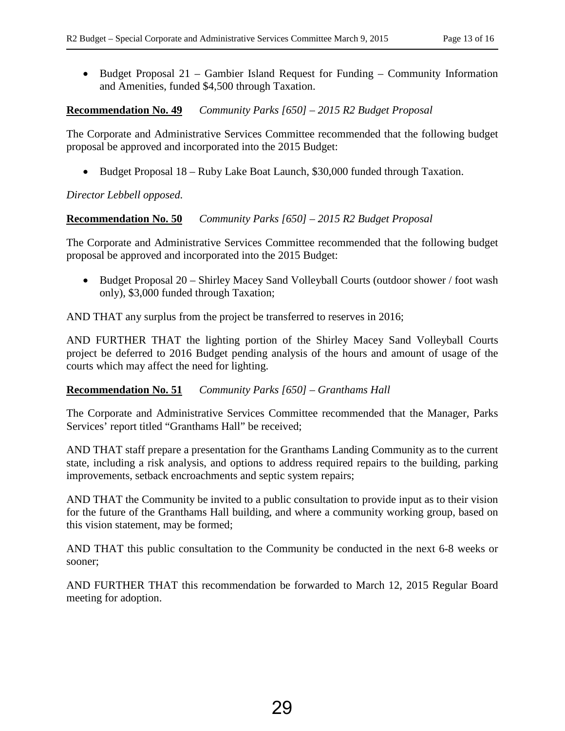• Budget Proposal 21 – Gambier Island Request for Funding – Community Information and Amenities, funded \$4,500 through Taxation.

#### **Recommendation No. 49** *Community Parks [650] – 2015 R2 Budget Proposal*

The Corporate and Administrative Services Committee recommended that the following budget proposal be approved and incorporated into the 2015 Budget:

• Budget Proposal 18 – Ruby Lake Boat Launch, \$30,000 funded through Taxation.

*Director Lebbell opposed.* 

**Recommendation No. 50** *Community Parks [650] – 2015 R2 Budget Proposal* 

The Corporate and Administrative Services Committee recommended that the following budget proposal be approved and incorporated into the 2015 Budget:

• Budget Proposal 20 – Shirley Macey Sand Volleyball Courts (outdoor shower / foot wash only), \$3,000 funded through Taxation;

AND THAT any surplus from the project be transferred to reserves in 2016;

AND FURTHER THAT the lighting portion of the Shirley Macey Sand Volleyball Courts project be deferred to 2016 Budget pending analysis of the hours and amount of usage of the courts which may affect the need for lighting.

## **Recommendation No. 51** *Community Parks [650] – Granthams Hall*

The Corporate and Administrative Services Committee recommended that the Manager, Parks Services' report titled "Granthams Hall" be received;

AND THAT staff prepare a presentation for the Granthams Landing Community as to the current state, including a risk analysis, and options to address required repairs to the building, parking improvements, setback encroachments and septic system repairs;

AND THAT the Community be invited to a public consultation to provide input as to their vision for the future of the Granthams Hall building, and where a community working group, based on this vision statement, may be formed;

AND THAT this public consultation to the Community be conducted in the next 6-8 weeks or sooner;

AND FURTHER THAT this recommendation be forwarded to March 12, 2015 Regular Board meeting for adoption.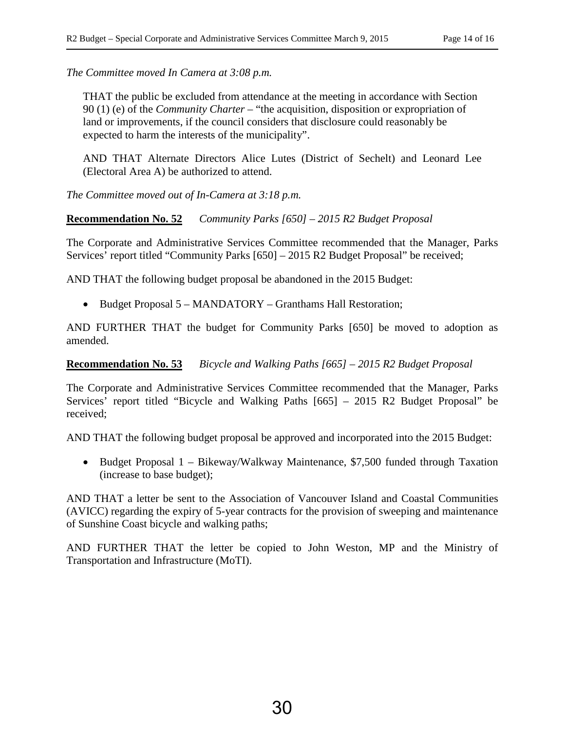*The Committee moved In Camera at 3:08 p.m.* 

THAT the public be excluded from attendance at the meeting in accordance with Section 90 (1) (e) of the *Community Charter* – "the acquisition, disposition or expropriation of land or improvements, if the council considers that disclosure could reasonably be expected to harm the interests of the municipality".

AND THAT Alternate Directors Alice Lutes (District of Sechelt) and Leonard Lee (Electoral Area A) be authorized to attend.

*The Committee moved out of In-Camera at 3:18 p.m.* 

**Recommendation No. 52** *Community Parks [650] – 2015 R2 Budget Proposal* 

The Corporate and Administrative Services Committee recommended that the Manager, Parks Services' report titled "Community Parks [650] – 2015 R2 Budget Proposal" be received;

AND THAT the following budget proposal be abandoned in the 2015 Budget:

• Budget Proposal 5 – MANDATORY – Granthams Hall Restoration;

AND FURTHER THAT the budget for Community Parks [650] be moved to adoption as amended.

**Recommendation No. 53** *Bicycle and Walking Paths [665] – 2015 R2 Budget Proposal* 

The Corporate and Administrative Services Committee recommended that the Manager, Parks Services' report titled "Bicycle and Walking Paths [665] – 2015 R2 Budget Proposal" be received;

AND THAT the following budget proposal be approved and incorporated into the 2015 Budget:

• Budget Proposal 1 – Bikeway/Walkway Maintenance, \$7,500 funded through Taxation (increase to base budget);

AND THAT a letter be sent to the Association of Vancouver Island and Coastal Communities (AVICC) regarding the expiry of 5-year contracts for the provision of sweeping and maintenance of Sunshine Coast bicycle and walking paths;

AND FURTHER THAT the letter be copied to John Weston, MP and the Ministry of Transportation and Infrastructure (MoTI).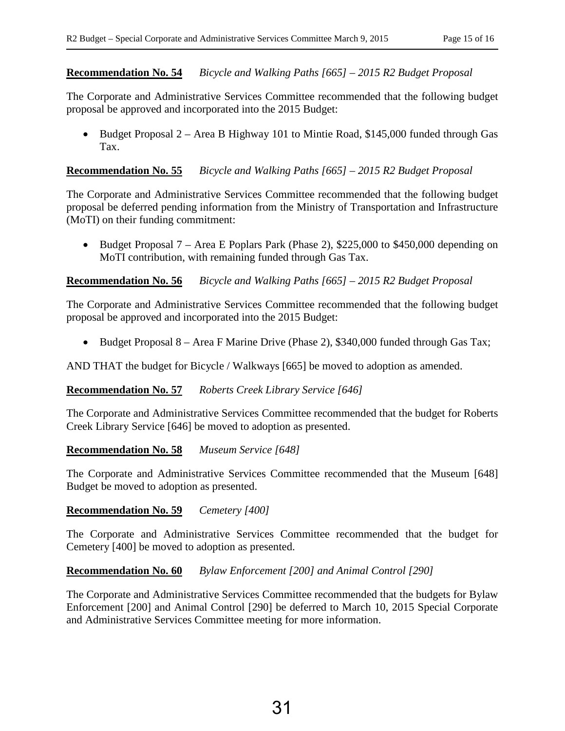#### **Recommendation No. 54** *Bicycle and Walking Paths [665] – 2015 R2 Budget Proposal*

The Corporate and Administrative Services Committee recommended that the following budget proposal be approved and incorporated into the 2015 Budget:

• Budget Proposal 2 – Area B Highway 101 to Mintie Road, \$145,000 funded through Gas Tax.

#### **Recommendation No. 55** *Bicycle and Walking Paths [665] – 2015 R2 Budget Proposal*

The Corporate and Administrative Services Committee recommended that the following budget proposal be deferred pending information from the Ministry of Transportation and Infrastructure (MoTI) on their funding commitment:

• Budget Proposal 7 – Area E Poplars Park (Phase 2), \$225,000 to \$450,000 depending on MoTI contribution, with remaining funded through Gas Tax.

#### **Recommendation No. 56** *Bicycle and Walking Paths [665] – 2015 R2 Budget Proposal*

The Corporate and Administrative Services Committee recommended that the following budget proposal be approved and incorporated into the 2015 Budget:

• Budget Proposal 8 – Area F Marine Drive (Phase 2), \$340,000 funded through Gas Tax;

AND THAT the budget for Bicycle / Walkways [665] be moved to adoption as amended.

#### **Recommendation No. 57** *Roberts Creek Library Service [646]*

The Corporate and Administrative Services Committee recommended that the budget for Roberts Creek Library Service [646] be moved to adoption as presented.

#### **Recommendation No. 58** *Museum Service [648]*

The Corporate and Administrative Services Committee recommended that the Museum [648] Budget be moved to adoption as presented.

#### **Recommendation No. 59** *Cemetery [400]*

The Corporate and Administrative Services Committee recommended that the budget for Cemetery [400] be moved to adoption as presented.

#### **Recommendation No. 60** *Bylaw Enforcement [200] and Animal Control [290]*

The Corporate and Administrative Services Committee recommended that the budgets for Bylaw Enforcement [200] and Animal Control [290] be deferred to March 10, 2015 Special Corporate and Administrative Services Committee meeting for more information.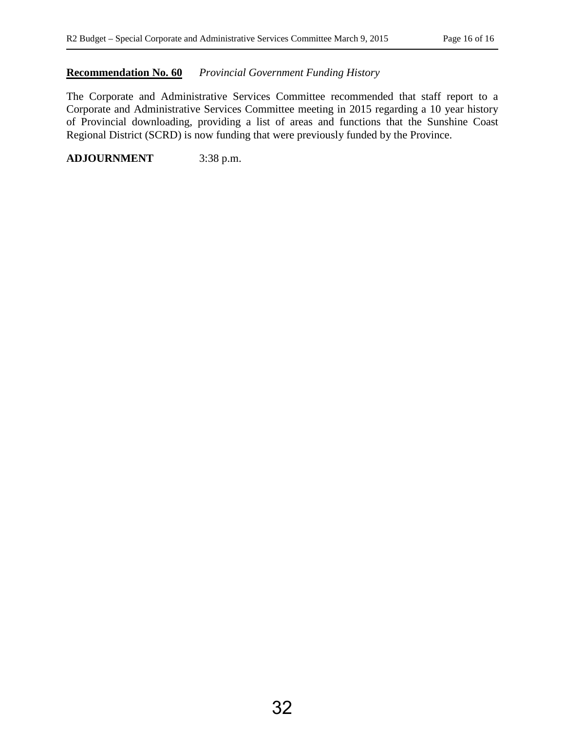#### **Recommendation No. 60** *Provincial Government Funding History*

The Corporate and Administrative Services Committee recommended that staff report to a Corporate and Administrative Services Committee meeting in 2015 regarding a 10 year history of Provincial downloading, providing a list of areas and functions that the Sunshine Coast Regional District (SCRD) is now funding that were previously funded by the Province.

**ADJOURNMENT** 3:38 p.m.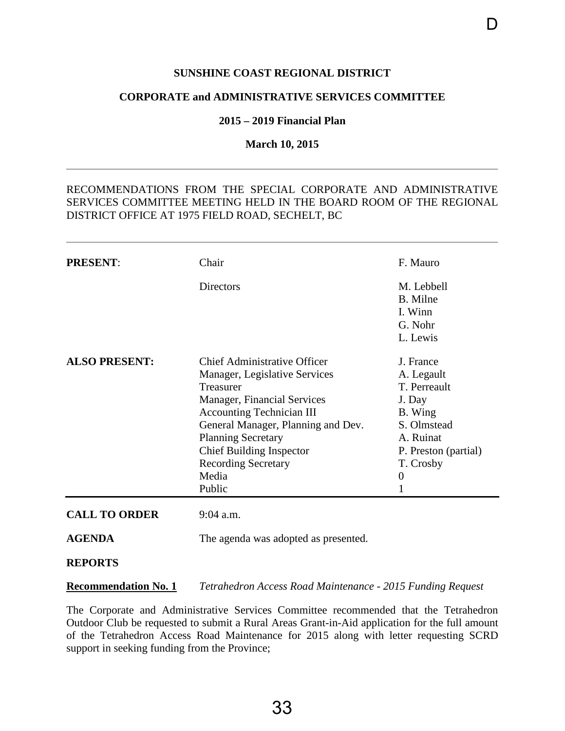#### **SUNSHINE COAST REGIONAL DISTRICT**

D

#### <span id="page-35-0"></span>**CORPORATE and ADMINISTRATIVE SERVICES COMMITTEE**

#### **2015 – 2019 Financial Plan**

#### **March 10, 2015**

## RECOMMENDATIONS FROM THE SPECIAL CORPORATE AND ADMINISTRATIVE SERVICES COMMITTEE MEETING HELD IN THE BOARD ROOM OF THE REGIONAL DISTRICT OFFICE AT 1975 FIELD ROAD, SECHELT, BC

| <b>PRESENT:</b>      | Chair                                | F. Mauro                      |
|----------------------|--------------------------------------|-------------------------------|
|                      | Directors                            | M. Lebbell<br><b>B.</b> Milne |
|                      |                                      | I. Winn                       |
|                      |                                      | G. Nohr                       |
|                      |                                      | L. Lewis                      |
| <b>ALSO PRESENT:</b> | <b>Chief Administrative Officer</b>  | J. France                     |
|                      | Manager, Legislative Services        | A. Legault                    |
|                      | Treasurer                            | T. Perreault                  |
|                      | Manager, Financial Services          | J. Day                        |
|                      | <b>Accounting Technician III</b>     | B. Wing                       |
|                      | General Manager, Planning and Dev.   | S. Olmstead                   |
|                      | <b>Planning Secretary</b>            | A. Ruinat                     |
|                      | <b>Chief Building Inspector</b>      | P. Preston (partial)          |
|                      | <b>Recording Secretary</b>           | T. Crosby                     |
|                      | Media                                | $\overline{0}$                |
|                      | Public                               |                               |
| <b>CALL TO ORDER</b> | 9:04 a.m.                            |                               |
| <b>AGENDA</b>        | The agenda was adopted as presented. |                               |
| <b>DEDADE</b> O      |                                      |                               |

#### **REPORTS**

**Recommendation No. 1** *Tetrahedron Access Road Maintenance - 2015 Funding Request*

The Corporate and Administrative Services Committee recommended that the Tetrahedron Outdoor Club be requested to submit a Rural Areas Grant-in-Aid application for the full amount of the Tetrahedron Access Road Maintenance for 2015 along with letter requesting SCRD support in seeking funding from the Province;

33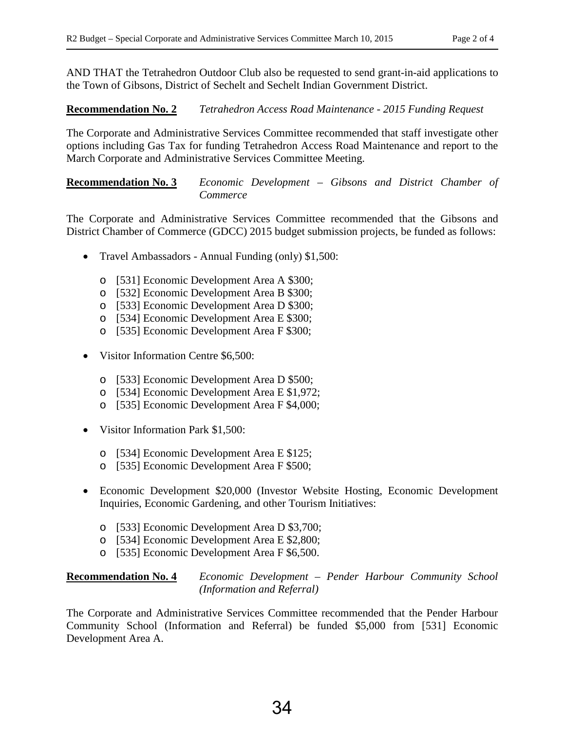AND THAT the Tetrahedron Outdoor Club also be requested to send grant-in-aid applications to the Town of Gibsons, District of Sechelt and Sechelt Indian Government District.

## **Recommendation No. 2** *Tetrahedron Access Road Maintenance - 2015 Funding Request*

The Corporate and Administrative Services Committee recommended that staff investigate other options including Gas Tax for funding Tetrahedron Access Road Maintenance and report to the March Corporate and Administrative Services Committee Meeting.

## **Recommendation No. 3** *Economic Development – Gibsons and District Chamber of Commerce*

The Corporate and Administrative Services Committee recommended that the Gibsons and District Chamber of Commerce (GDCC) 2015 budget submission projects, be funded as follows:

- Travel Ambassadors Annual Funding (only) \$1,500:
	- o [531] Economic Development Area A \$300;
	- o [532] Economic Development Area B \$300;
	- o [533] Economic Development Area D \$300;
	- o [534] Economic Development Area E \$300;
	- o [535] Economic Development Area F \$300;
- Visitor Information Centre \$6,500:
	- o [533] Economic Development Area D \$500;
	- o [534] Economic Development Area E \$1,972;
	- o [535] Economic Development Area F \$4,000;
- Visitor Information Park \$1,500:
	- o [534] Economic Development Area E \$125;
	- o [535] Economic Development Area F \$500;
- Economic Development \$20,000 (Investor Website Hosting, Economic Development Inquiries, Economic Gardening, and other Tourism Initiatives:
	- o [533] Economic Development Area D \$3,700;
	- o [534] Economic Development Area E \$2,800;
	- o [535] Economic Development Area F \$6,500.

#### **Recommendation No. 4** *Economic Development – Pender Harbour Community School (Information and Referral)*

The Corporate and Administrative Services Committee recommended that the Pender Harbour Community School (Information and Referral) be funded \$5,000 from [531] Economic Development Area A.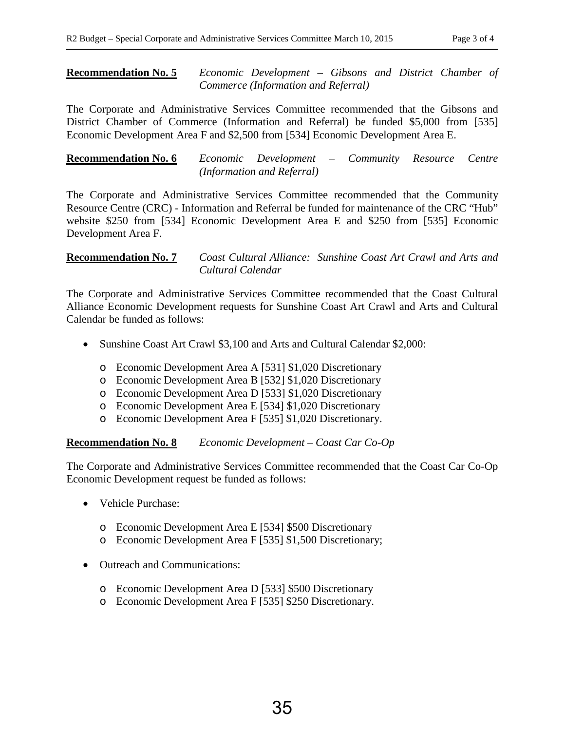#### **Recommendation No. 5** *Economic Development – Gibsons and District Chamber of Commerce (Information and Referral)*

The Corporate and Administrative Services Committee recommended that the Gibsons and District Chamber of Commerce (Information and Referral) be funded \$5,000 from [535] Economic Development Area F and \$2,500 from [534] Economic Development Area E.

**Recommendation No. 6** *Economic Development – Community Resource Centre (Information and Referral)*

The Corporate and Administrative Services Committee recommended that the Community Resource Centre (CRC) - Information and Referral be funded for maintenance of the CRC "Hub" website \$250 from [534] Economic Development Area E and \$250 from [535] Economic Development Area F.

**Recommendation No. 7** *Coast Cultural Alliance: Sunshine Coast Art Crawl and Arts and Cultural Calendar*

The Corporate and Administrative Services Committee recommended that the Coast Cultural Alliance Economic Development requests for Sunshine Coast Art Crawl and Arts and Cultural Calendar be funded as follows:

- Sunshine Coast Art Crawl \$3,100 and Arts and Cultural Calendar \$2,000:
	- o Economic Development Area A [531] \$1,020 Discretionary
	- o Economic Development Area B [532] \$1,020 Discretionary
	- o Economic Development Area D [533] \$1,020 Discretionary
	- o Economic Development Area E [534] \$1,020 Discretionary
	- o Economic Development Area F [535] \$1,020 Discretionary.

**Recommendation No. 8** *Economic Development – Coast Car Co-Op*

The Corporate and Administrative Services Committee recommended that the Coast Car Co-Op Economic Development request be funded as follows:

- Vehicle Purchase:
	- o Economic Development Area E [534] \$500 Discretionary
	- o Economic Development Area F [535] \$1,500 Discretionary;
- Outreach and Communications:
	- o Economic Development Area D [533] \$500 Discretionary
	- o Economic Development Area F [535] \$250 Discretionary.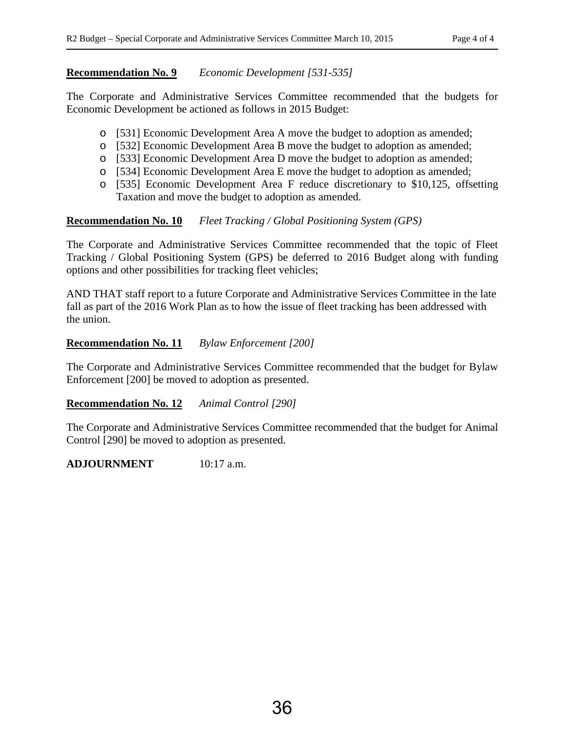#### **Recommendation No. 9** *Economic Development [531-535]*

The Corporate and Administrative Services Committee recommended that the budgets for Economic Development be actioned as follows in 2015 Budget:

- o [531] Economic Development Area A move the budget to adoption as amended;
- o [532] Economic Development Area B move the budget to adoption as amended;
- o [533] Economic Development Area D move the budget to adoption as amended;
- o [534] Economic Development Area E move the budget to adoption as amended;
- o [535] Economic Development Area F reduce discretionary to \$10,125, offsetting Taxation and move the budget to adoption as amended.

## **Recommendation No. 10** *Fleet Tracking / Global Positioning System (GPS)*

The Corporate and Administrative Services Committee recommended that the topic of Fleet Tracking / Global Positioning System (GPS) be deferred to 2016 Budget along with funding options and other possibilities for tracking fleet vehicles;

AND THAT staff report to a future Corporate and Administrative Services Committee in the late fall as part of the 2016 Work Plan as to how the issue of fleet tracking has been addressed with the union.

#### **Recommendation No. 11** *Bylaw Enforcement [200]*

The Corporate and Administrative Services Committee recommended that the budget for Bylaw Enforcement [200] be moved to adoption as presented.

#### **Recommendation No. 12** *Animal Control [290]*

The Corporate and Administrative Services Committee recommended that the budget for Animal Control [290] be moved to adoption as presented.

#### **ADJOURNMENT** 10:17 a.m.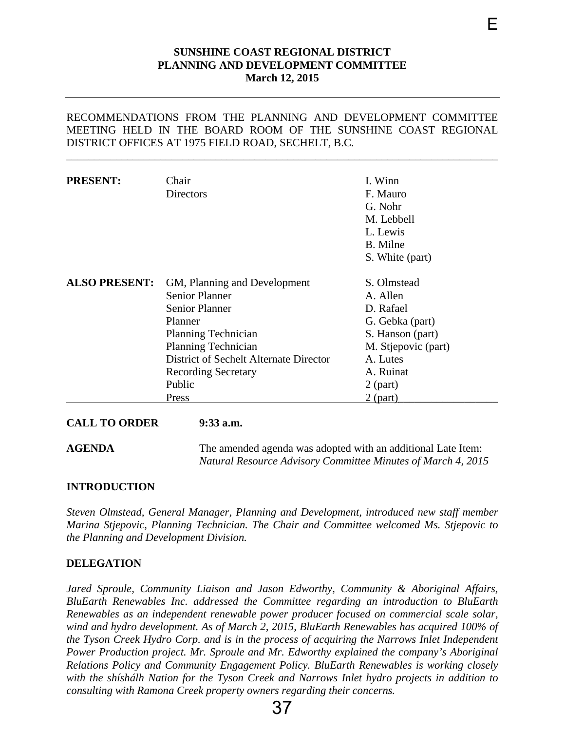#### **SUNSHINE COAST REGIONAL DISTRICT PLANNING AND DEVELOPMENT COMMITTEE March 12, 2015**

E

<span id="page-39-0"></span>RECOMMENDATIONS FROM THE PLANNING AND DEVELOPMENT COMMITTEE MEETING HELD IN THE BOARD ROOM OF THE SUNSHINE COAST REGIONAL DISTRICT OFFICES AT 1975 FIELD ROAD, SECHELT, B.C.

\_\_\_\_\_\_\_\_\_\_\_\_\_\_\_\_\_\_\_\_\_\_\_\_\_\_\_\_\_\_\_\_\_\_\_\_\_\_\_\_\_\_\_\_\_\_\_\_\_\_\_\_\_\_\_\_\_\_\_\_\_\_\_\_\_\_\_\_\_\_\_\_\_\_\_\_\_\_

| <b>PRESENT:</b>      | Chair<br>Directors                                                                                                                                                                                                                               | I. Winn<br>F. Mauro<br>G. Nohr<br>M. Lebbell<br>L. Lewis<br>B. Milne<br>S. White (part)                                                                 |
|----------------------|--------------------------------------------------------------------------------------------------------------------------------------------------------------------------------------------------------------------------------------------------|---------------------------------------------------------------------------------------------------------------------------------------------------------|
| <b>ALSO PRESENT:</b> | GM, Planning and Development<br><b>Senior Planner</b><br><b>Senior Planner</b><br>Planner<br><b>Planning Technician</b><br><b>Planning Technician</b><br>District of Sechelt Alternate Director<br><b>Recording Secretary</b><br>Public<br>Press | S. Olmstead<br>A. Allen<br>D. Rafael<br>G. Gebka (part)<br>S. Hanson (part)<br>M. Stjepovic (part)<br>A. Lutes<br>A. Ruinat<br>$2$ (part)<br>$2$ (part) |

**CALL TO ORDER 9:33 a.m.**

**AGENDA** The amended agenda was adopted with an additional Late Item: *Natural Resource Advisory Committee Minutes of March 4, 2015*

#### **INTRODUCTION**

*Steven Olmstead, General Manager, Planning and Development, introduced new staff member Marina Stjepovic, Planning Technician. The Chair and Committee welcomed Ms. Stjepovic to the Planning and Development Division.* 

#### **DELEGATION**

*Jared Sproule, Community Liaison and Jason Edworthy, Community & Aboriginal Affairs, BluEarth Renewables Inc. addressed the Committee regarding an introduction to BluEarth Renewables as an independent renewable power producer focused on commercial scale solar, wind and hydro development. As of March 2, 2015, BluEarth Renewables has acquired 100% of the Tyson Creek Hydro Corp. and is in the process of acquiring the Narrows Inlet Independent Power Production project. Mr. Sproule and Mr. Edworthy explained the company's Aboriginal Relations Policy and Community Engagement Policy. BluEarth Renewables is working closely with the shíshálh Nation for the Tyson Creek and Narrows Inlet hydro projects in addition to consulting with Ramona Creek property owners regarding their concerns.* 

37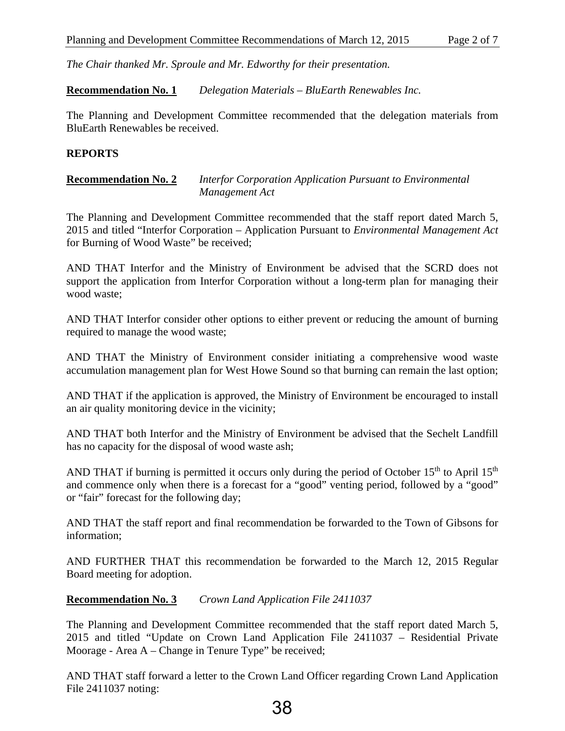*The Chair thanked Mr. Sproule and Mr. Edworthy for their presentation.*

**Recommendation No. 1** *Delegation Materials – BluEarth Renewables Inc.* 

The Planning and Development Committee recommended that the delegation materials from BluEarth Renewables be received.

#### **REPORTS**

#### **Recommendation No. 2** *Interfor Corporation Application Pursuant to Environmental Management Act*

The Planning and Development Committee recommended that the staff report dated March 5, 2015 and titled "Interfor Corporation – Application Pursuant to *Environmental Management Act*  for Burning of Wood Waste" be received;

AND THAT Interfor and the Ministry of Environment be advised that the SCRD does not support the application from Interfor Corporation without a long-term plan for managing their wood waste;

AND THAT Interfor consider other options to either prevent or reducing the amount of burning required to manage the wood waste;

AND THAT the Ministry of Environment consider initiating a comprehensive wood waste accumulation management plan for West Howe Sound so that burning can remain the last option;

AND THAT if the application is approved, the Ministry of Environment be encouraged to install an air quality monitoring device in the vicinity;

AND THAT both Interfor and the Ministry of Environment be advised that the Sechelt Landfill has no capacity for the disposal of wood waste ash;

AND THAT if burning is permitted it occurs only during the period of October  $15<sup>th</sup>$  to April  $15<sup>th</sup>$ and commence only when there is a forecast for a "good" venting period, followed by a "good" or "fair" forecast for the following day;

AND THAT the staff report and final recommendation be forwarded to the Town of Gibsons for information;

AND FURTHER THAT this recommendation be forwarded to the March 12, 2015 Regular Board meeting for adoption.

## **Recommendation No. 3** *Crown Land Application File 2411037*

The Planning and Development Committee recommended that the staff report dated March 5, 2015 and titled "Update on Crown Land Application File 2411037 – Residential Private Moorage - Area A – Change in Tenure Type" be received;

AND THAT staff forward a letter to the Crown Land Officer regarding Crown Land Application File 2411037 noting: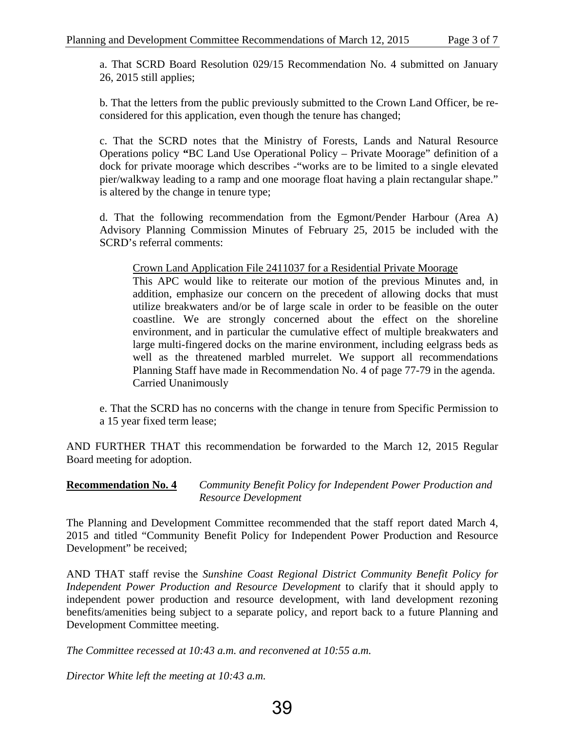a. That SCRD Board Resolution 029/15 Recommendation No. 4 submitted on January 26, 2015 still applies;

b. That the letters from the public previously submitted to the Crown Land Officer, be reconsidered for this application, even though the tenure has changed;

c. That the SCRD notes that the Ministry of Forests, Lands and Natural Resource Operations policy **"**BC Land Use Operational Policy – Private Moorage" definition of a dock for private moorage which describes -"works are to be limited to a single elevated pier/walkway leading to a ramp and one moorage float having a plain rectangular shape." is altered by the change in tenure type;

d. That the following recommendation from the Egmont/Pender Harbour (Area A) Advisory Planning Commission Minutes of February 25, 2015 be included with the SCRD's referral comments:

Crown Land Application File 2411037 for a Residential Private Moorage

This APC would like to reiterate our motion of the previous Minutes and, in addition, emphasize our concern on the precedent of allowing docks that must utilize breakwaters and/or be of large scale in order to be feasible on the outer coastline. We are strongly concerned about the effect on the shoreline environment, and in particular the cumulative effect of multiple breakwaters and large multi-fingered docks on the marine environment, including eelgrass beds as well as the threatened marbled murrelet. We support all recommendations Planning Staff have made in Recommendation No. 4 of page 77-79 in the agenda. Carried Unanimously

e. That the SCRD has no concerns with the change in tenure from Specific Permission to a 15 year fixed term lease;

AND FURTHER THAT this recommendation be forwarded to the March 12, 2015 Regular Board meeting for adoption.

**Recommendation No. 4** *Community Benefit Policy for Independent Power Production and Resource Development* 

The Planning and Development Committee recommended that the staff report dated March 4, 2015 and titled "Community Benefit Policy for Independent Power Production and Resource Development" be received;

AND THAT staff revise the *Sunshine Coast Regional District Community Benefit Policy for Independent Power Production and Resource Development* to clarify that it should apply to independent power production and resource development, with land development rezoning benefits/amenities being subject to a separate policy, and report back to a future Planning and Development Committee meeting.

*The Committee recessed at 10:43 a.m. and reconvened at 10:55 a.m.*

*Director White left the meeting at 10:43 a.m.*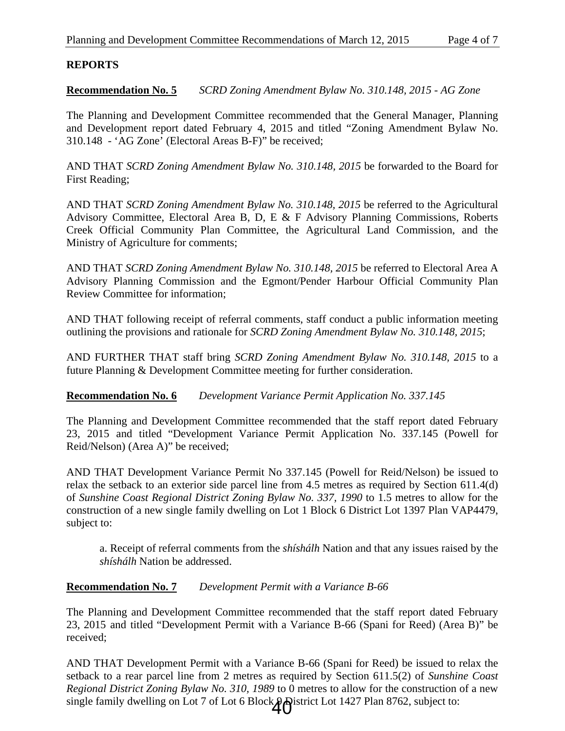## **REPORTS**

**Recommendation No. 5** *SCRD Zoning Amendment Bylaw No. 310.148, 2015 - AG Zone*

The Planning and Development Committee recommended that the General Manager, Planning and Development report dated February 4, 2015 and titled "Zoning Amendment Bylaw No. 310.148 - 'AG Zone' (Electoral Areas B-F)" be received;

AND THAT *SCRD Zoning Amendment Bylaw No. 310.148, 2015* be forwarded to the Board for First Reading;

AND THAT *SCRD Zoning Amendment Bylaw No. 310.148, 2015* be referred to the Agricultural Advisory Committee, Electoral Area B, D, E & F Advisory Planning Commissions, Roberts Creek Official Community Plan Committee, the Agricultural Land Commission, and the Ministry of Agriculture for comments;

AND THAT *SCRD Zoning Amendment Bylaw No. 310.148, 2015* be referred to Electoral Area A Advisory Planning Commission and the Egmont/Pender Harbour Official Community Plan Review Committee for information;

AND THAT following receipt of referral comments, staff conduct a public information meeting outlining the provisions and rationale for *SCRD Zoning Amendment Bylaw No. 310.148, 2015*;

AND FURTHER THAT staff bring *SCRD Zoning Amendment Bylaw No. 310.148, 2015* to a future Planning & Development Committee meeting for further consideration.

**Recommendation No. 6** *Development Variance Permit Application No. 337.145*

The Planning and Development Committee recommended that the staff report dated February 23, 2015 and titled "Development Variance Permit Application No. 337.145 (Powell for Reid/Nelson) (Area A)" be received;

AND THAT Development Variance Permit No 337.145 (Powell for Reid/Nelson) be issued to relax the setback to an exterior side parcel line from 4.5 metres as required by Section 611.4(d) of *Sunshine Coast Regional District Zoning Bylaw No. 337, 1990* to 1.5 metres to allow for the construction of a new single family dwelling on Lot 1 Block 6 District Lot 1397 Plan VAP4479, subject to:

a. Receipt of referral comments from the *shíshálh* Nation and that any issues raised by the *shíshálh* Nation be addressed.

## **Recommendation No. 7** *Development Permit with a Variance B-66*

The Planning and Development Committee recommended that the staff report dated February 23, 2015 and titled "Development Permit with a Variance B-66 (Spani for Reed) (Area B)" be received;

AND THAT Development Permit with a Variance B-66 (Spani for Reed) be issued to relax the setback to a rear parcel line from 2 metres as required by Section 611.5(2) of *Sunshine Coast Regional District Zoning Bylaw No. 310, 1989* to 0 metres to allow for the construction of a new single family dwelling on Lot 7 of Lot 6 Block  $\bigoplus$  strict Lot 1427 Plan 8762, subject to: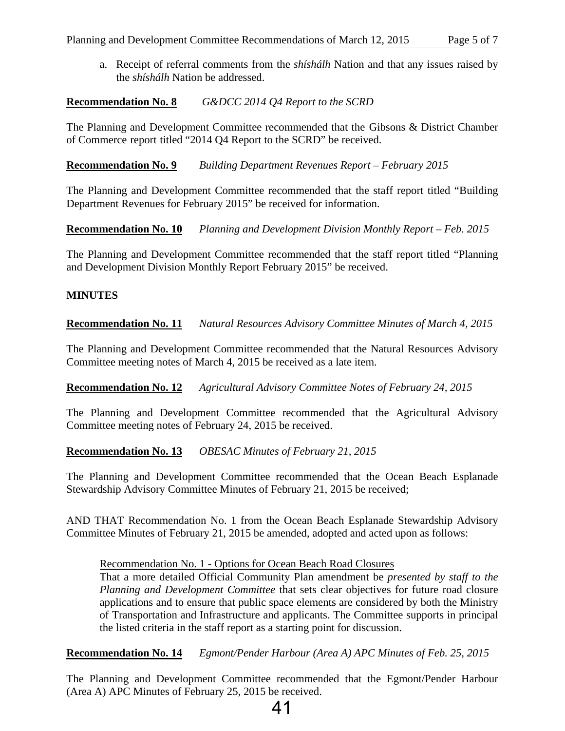a. Receipt of referral comments from the *shíshálh* Nation and that any issues raised by the *shíshálh* Nation be addressed.

#### **Recommendation No. 8** *G&DCC 2014 Q4 Report to the SCRD*

The Planning and Development Committee recommended that the Gibsons & District Chamber of Commerce report titled "2014 Q4 Report to the SCRD" be received.

**Recommendation No. 9** *Building Department Revenues Report – February 2015* 

The Planning and Development Committee recommended that the staff report titled "Building Department Revenues for February 2015" be received for information.

**Recommendation No. 10** *Planning and Development Division Monthly Report – Feb. 2015* 

The Planning and Development Committee recommended that the staff report titled "Planning and Development Division Monthly Report February 2015" be received.

#### **MINUTES**

**Recommendation No. 11** *Natural Resources Advisory Committee Minutes of March 4, 2015* 

The Planning and Development Committee recommended that the Natural Resources Advisory Committee meeting notes of March 4, 2015 be received as a late item.

**Recommendation No. 12** *Agricultural Advisory Committee Notes of February 24, 2015* 

The Planning and Development Committee recommended that the Agricultural Advisory Committee meeting notes of February 24, 2015 be received.

#### **Recommendation No. 13** *OBESAC Minutes of February 21, 2015*

The Planning and Development Committee recommended that the Ocean Beach Esplanade Stewardship Advisory Committee Minutes of February 21, 2015 be received;

AND THAT Recommendation No. 1 from the Ocean Beach Esplanade Stewardship Advisory Committee Minutes of February 21, 2015 be amended, adopted and acted upon as follows:

Recommendation No. 1 - Options for Ocean Beach Road Closures

That a more detailed Official Community Plan amendment be *presented by staff to the Planning and Development Committee* that sets clear objectives for future road closure applications and to ensure that public space elements are considered by both the Ministry of Transportation and Infrastructure and applicants. The Committee supports in principal the listed criteria in the staff report as a starting point for discussion.

**Recommendation No. 14** *Egmont/Pender Harbour (Area A) APC Minutes of Feb. 25, 2015* 

The Planning and Development Committee recommended that the Egmont/Pender Harbour (Area A) APC Minutes of February 25, 2015 be received.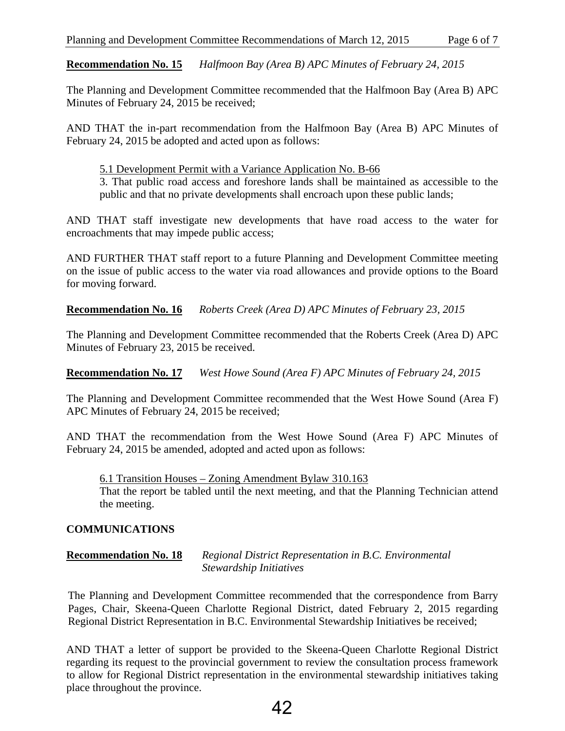**Recommendation No. 15** *Halfmoon Bay (Area B) APC Minutes of February 24, 2015* 

The Planning and Development Committee recommended that the Halfmoon Bay (Area B) APC Minutes of February 24, 2015 be received;

AND THAT the in-part recommendation from the Halfmoon Bay (Area B) APC Minutes of February 24, 2015 be adopted and acted upon as follows:

5.1 Development Permit with a Variance Application No. B-66

3. That public road access and foreshore lands shall be maintained as accessible to the public and that no private developments shall encroach upon these public lands;

AND THAT staff investigate new developments that have road access to the water for encroachments that may impede public access;

AND FURTHER THAT staff report to a future Planning and Development Committee meeting on the issue of public access to the water via road allowances and provide options to the Board for moving forward.

**Recommendation No. 16** *Roberts Creek (Area D) APC Minutes of February 23, 2015* 

The Planning and Development Committee recommended that the Roberts Creek (Area D) APC Minutes of February 23, 2015 be received.

**Recommendation No. 17** *West Howe Sound (Area F) APC Minutes of February 24, 2015* 

The Planning and Development Committee recommended that the West Howe Sound (Area F) APC Minutes of February 24, 2015 be received;

AND THAT the recommendation from the West Howe Sound (Area F) APC Minutes of February 24, 2015 be amended, adopted and acted upon as follows:

6.1 Transition Houses – Zoning Amendment Bylaw 310.163 That the report be tabled until the next meeting, and that the Planning Technician attend the meeting.

## **COMMUNICATIONS**

## **Recommendation No. 18** *Regional District Representation in B.C. Environmental Stewardship Initiatives*

The Planning and Development Committee recommended that the correspondence from Barry Pages, Chair, Skeena-Queen Charlotte Regional District, dated February 2, 2015 regarding Regional District Representation in B.C. Environmental Stewardship Initiatives be received;

AND THAT a letter of support be provided to the Skeena-Queen Charlotte Regional District regarding its request to the provincial government to review the consultation process framework to allow for Regional District representation in the environmental stewardship initiatives taking place throughout the province.

# 42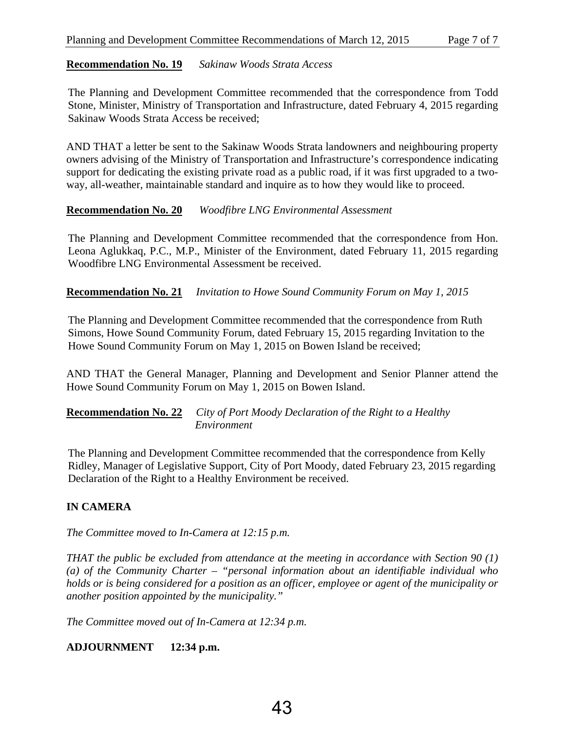## **Recommendation No. 19** *Sakinaw Woods Strata Access*

The Planning and Development Committee recommended that the correspondence from Todd Stone, Minister, Ministry of Transportation and Infrastructure, dated February 4, 2015 regarding Sakinaw Woods Strata Access be received;

AND THAT a letter be sent to the Sakinaw Woods Strata landowners and neighbouring property owners advising of the Ministry of Transportation and Infrastructure's correspondence indicating support for dedicating the existing private road as a public road, if it was first upgraded to a twoway, all-weather, maintainable standard and inquire as to how they would like to proceed.

## **Recommendation No. 20** *Woodfibre LNG Environmental Assessment*

The Planning and Development Committee recommended that the correspondence from Hon. Leona Aglukkaq, P.C., M.P., Minister of the Environment, dated February 11, 2015 regarding Woodfibre LNG Environmental Assessment be received.

#### **Recommendation No. 21** *Invitation to Howe Sound Community Forum on May 1, 2015*

The Planning and Development Committee recommended that the correspondence from Ruth Simons, Howe Sound Community Forum, dated February 15, 2015 regarding Invitation to the Howe Sound Community Forum on May 1, 2015 on Bowen Island be received;

AND THAT the General Manager, Planning and Development and Senior Planner attend the Howe Sound Community Forum on May 1, 2015 on Bowen Island.

#### **Recommendation No. 22** *City of Port Moody Declaration of the Right to a Healthy Environment*

The Planning and Development Committee recommended that the correspondence from Kelly Ridley, Manager of Legislative Support, City of Port Moody, dated February 23, 2015 regarding Declaration of the Right to a Healthy Environment be received.

## **IN CAMERA**

*The Committee moved to In-Camera at 12:15 p.m.*

*THAT the public be excluded from attendance at the meeting in accordance with Section 90 (1) (a) of the Community Charter – "personal information about an identifiable individual who holds or is being considered for a position as an officer, employee or agent of the municipality or another position appointed by the municipality."* 

*The Committee moved out of In-Camera at 12:34 p.m.* 

## **ADJOURNMENT 12:34 p.m.**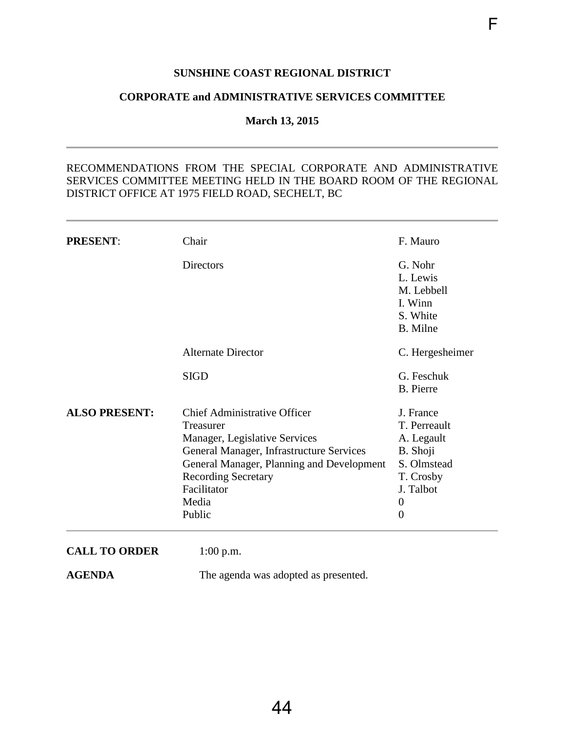## **SUNSHINE COAST REGIONAL DISTRICT**

F

#### <span id="page-46-0"></span>**CORPORATE and ADMINISTRATIVE SERVICES COMMITTEE**

**March 13, 2015** 

#### RECOMMENDATIONS FROM THE SPECIAL CORPORATE AND ADMINISTRATIVE SERVICES COMMITTEE MEETING HELD IN THE BOARD ROOM OF THE REGIONAL DISTRICT OFFICE AT 1975 FIELD ROAD, SECHELT, BC

| <b>PRESENT:</b>      | Chair                                     | F. Mauro         |
|----------------------|-------------------------------------------|------------------|
|                      | <b>Directors</b>                          | G. Nohr          |
|                      |                                           | L. Lewis         |
|                      |                                           | M. Lebbell       |
|                      |                                           | I. Winn          |
|                      |                                           | S. White         |
|                      |                                           | B. Milne         |
|                      | <b>Alternate Director</b>                 | C. Hergesheimer  |
|                      | <b>SIGD</b>                               | G. Feschuk       |
|                      |                                           | <b>B.</b> Pierre |
| <b>ALSO PRESENT:</b> | <b>Chief Administrative Officer</b>       | J. France        |
|                      | Treasurer                                 | T. Perreault     |
|                      | Manager, Legislative Services             | A. Legault       |
|                      | General Manager, Infrastructure Services  | B. Shoji         |
|                      | General Manager, Planning and Development | S. Olmstead      |
|                      | <b>Recording Secretary</b>                | T. Crosby        |
|                      | Facilitator                               | J. Talbot        |
|                      | Media                                     | $\boldsymbol{0}$ |
|                      | Public                                    | $\overline{0}$   |
| <b>CALL TO ORDER</b> | $1:00$ p.m.                               |                  |

**AGENDA** The agenda was adopted as presented.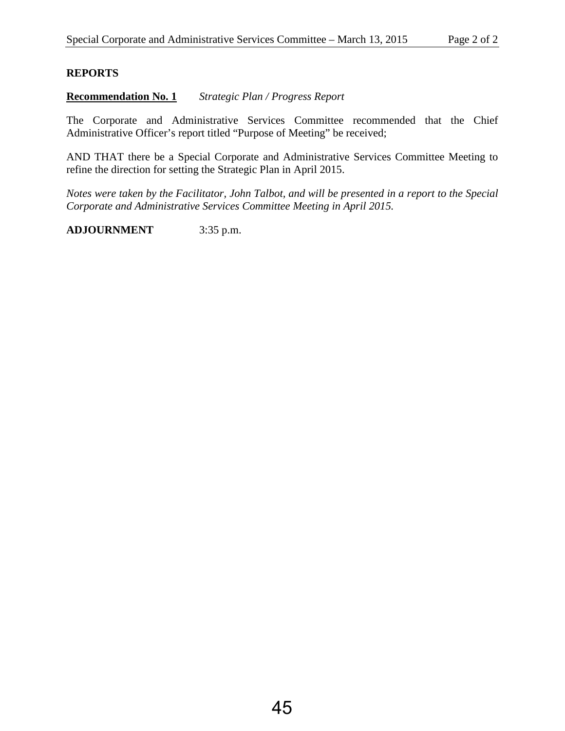## **REPORTS**

**Recommendation No. 1** *Strategic Plan / Progress Report* 

The Corporate and Administrative Services Committee recommended that the Chief Administrative Officer's report titled "Purpose of Meeting" be received;

AND THAT there be a Special Corporate and Administrative Services Committee Meeting to refine the direction for setting the Strategic Plan in April 2015.

*Notes were taken by the Facilitator, John Talbot, and will be presented in a report to the Special Corporate and Administrative Services Committee Meeting in April 2015.* 

**ADJOURNMENT** 3:35 p.m.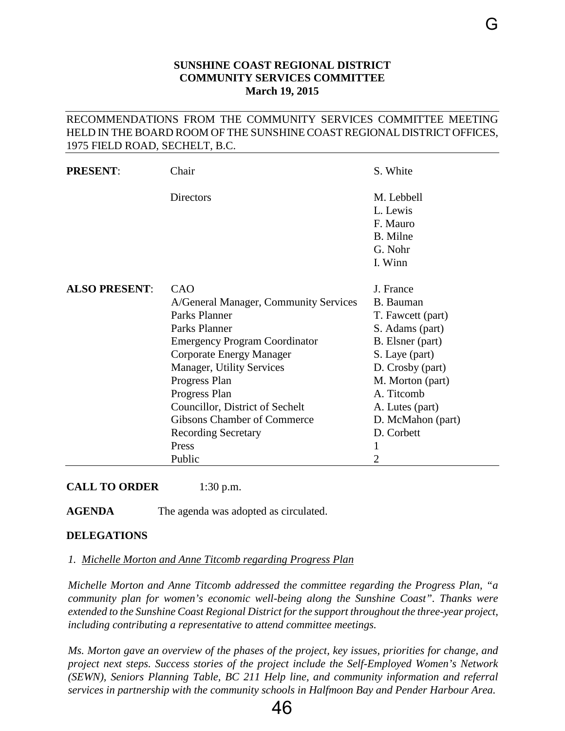## **SUNSHINE COAST REGIONAL DISTRICT COMMUNITY SERVICES COMMITTEE March 19, 2015**

#### <span id="page-48-0"></span>RECOMMENDATIONS FROM THE COMMUNITY SERVICES COMMITTEE MEETING HELD IN THE BOARD ROOM OF THE SUNSHINE COAST REGIONAL DISTRICT OFFICES, 1975 FIELD ROAD, SECHELT, B.C.

| <b>PRESENT:</b>      | Chair                                                                                                                                                                                                                                                                                                                                              | S. White                                                                                                                                                                                                                   |
|----------------------|----------------------------------------------------------------------------------------------------------------------------------------------------------------------------------------------------------------------------------------------------------------------------------------------------------------------------------------------------|----------------------------------------------------------------------------------------------------------------------------------------------------------------------------------------------------------------------------|
|                      | <b>Directors</b>                                                                                                                                                                                                                                                                                                                                   | M. Lebbell<br>L. Lewis<br>F. Mauro<br>B. Milne<br>G. Nohr<br>I. Winn                                                                                                                                                       |
| <b>ALSO PRESENT:</b> | CAO<br>A/General Manager, Community Services<br>Parks Planner<br>Parks Planner<br><b>Emergency Program Coordinator</b><br><b>Corporate Energy Manager</b><br>Manager, Utility Services<br>Progress Plan<br>Progress Plan<br>Councillor, District of Sechelt<br><b>Gibsons Chamber of Commerce</b><br><b>Recording Secretary</b><br>Press<br>Public | J. France<br>B. Bauman<br>T. Fawcett (part)<br>S. Adams (part)<br>B. Elsner (part)<br>S. Laye (part)<br>D. Crosby (part)<br>M. Morton (part)<br>A. Titcomb<br>A. Lutes (part)<br>D. McMahon (part)<br>D. Corbett<br>1<br>2 |

**CALL TO ORDER** 1:30 p.m.

**AGENDA** The agenda was adopted as circulated.

#### **DELEGATIONS**

#### *1. Michelle Morton and Anne Titcomb regarding Progress Plan*

*Michelle Morton and Anne Titcomb addressed the committee regarding the Progress Plan, "a community plan for women's economic well-being along the Sunshine Coast". Thanks were extended to the Sunshine Coast Regional District for the support throughout the three-year project, including contributing a representative to attend committee meetings.*

*Ms. Morton gave an overview of the phases of the project, key issues, priorities for change, and project next steps. Success stories of the project include the Self-Employed Women's Network (SEWN), Seniors Planning Table, BC 211 Help line, and community information and referral services in partnership with the community schools in Halfmoon Bay and Pender Harbour Area.* 

46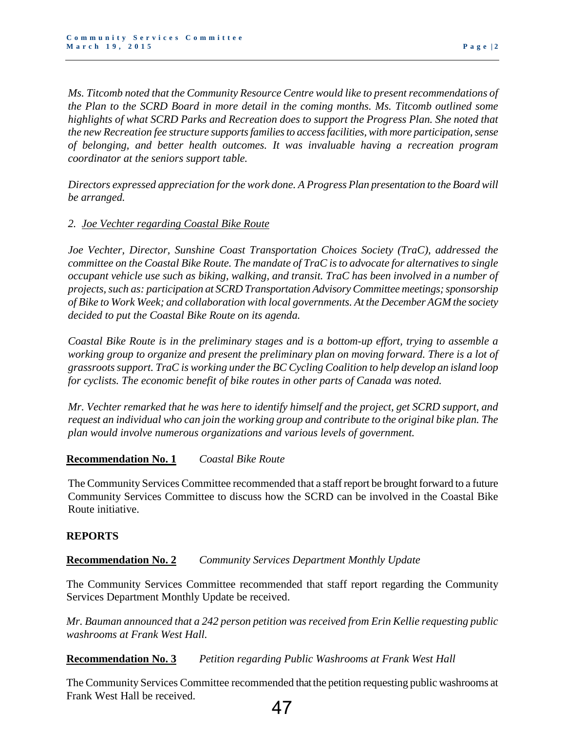*Ms. Titcomb noted that the Community Resource Centre would like to present recommendations of the Plan to the SCRD Board in more detail in the coming months. Ms. Titcomb outlined some highlights of what SCRD Parks and Recreation does to support the Progress Plan. She noted that the new Recreation fee structure supports families to access facilities, with more participation, sense of belonging, and better health outcomes. It was invaluable having a recreation program coordinator at the seniors support table.* 

*Directors expressed appreciation for the work done. A Progress Plan presentation to the Board will be arranged.* 

#### *2. Joe Vechter regarding Coastal Bike Route*

*Joe Vechter, Director, Sunshine Coast Transportation Choices Society (TraC), addressed the committee on the Coastal Bike Route. The mandate of TraC is to advocate for alternatives to single occupant vehicle use such as biking, walking, and transit. TraC has been involved in a number of projects, such as: participation at SCRD Transportation Advisory Committee meetings; sponsorship of Bike to Work Week; and collaboration with local governments. At the December AGM the society decided to put the Coastal Bike Route on its agenda.* 

*Coastal Bike Route is in the preliminary stages and is a bottom-up effort, trying to assemble a working group to organize and present the preliminary plan on moving forward. There is a lot of grassroots support. TraC is working under the BC Cycling Coalition to help develop an island loop for cyclists. The economic benefit of bike routes in other parts of Canada was noted.* 

*Mr. Vechter remarked that he was here to identify himself and the project, get SCRD support, and request an individual who can join the working group and contribute to the original bike plan. The plan would involve numerous organizations and various levels of government.* 

#### **Recommendation No. 1** *Coastal Bike Route*

The Community Services Committee recommended that a staff report be brought forward to a future Community Services Committee to discuss how the SCRD can be involved in the Coastal Bike Route initiative.

#### **REPORTS**

#### **Recommendation No. 2** *Community Services Department Monthly Update*

The Community Services Committee recommended that staff report regarding the Community Services Department Monthly Update be received.

*Mr. Bauman announced that a 242 person petition was received from Erin Kellie requesting public washrooms at Frank West Hall.* 

**Recommendation No. 3** *Petition regarding Public Washrooms at Frank West Hall* 

The Community Services Committee recommended that the petition requesting public washrooms at Frank West Hall be received.

## 47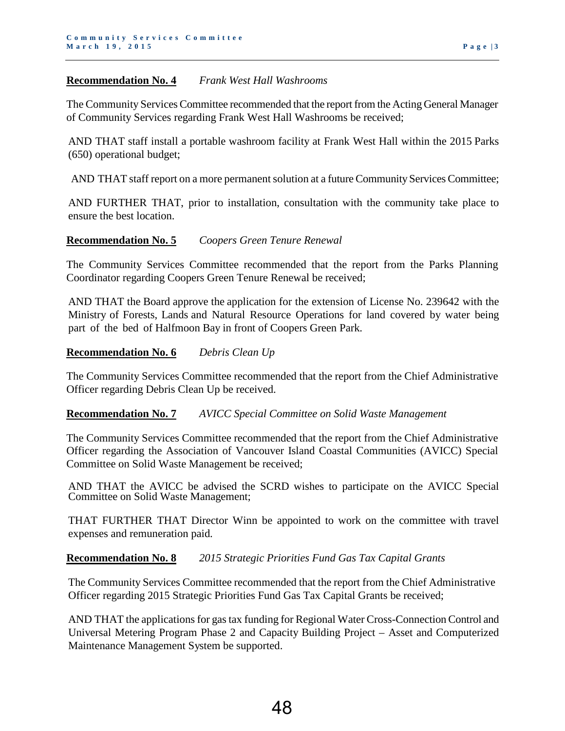#### **Recommendation No. 4** *Frank West Hall Washrooms*

The Community Services Committee recommended that the report from the Acting General Manager of Community Services regarding Frank West Hall Washrooms be received;

AND THAT staff install a portable washroom facility at Frank West Hall within the 2015 Parks (650) operational budget;

AND THAT staff report on a more permanent solution at a future Community Services Committee;

AND FURTHER THAT, prior to installation, consultation with the community take place to ensure the best location.

#### **Recommendation No. 5** *Coopers Green Tenure Renewal*

The Community Services Committee recommended that the report from the Parks Planning Coordinator regarding Coopers Green Tenure Renewal be received;

AND THAT the Board approve the application for the extension of License No. 239642 with the Ministry of Forests, Lands and Natural Resource Operations for land covered by water being part of the bed of Halfmoon Bay in front of Coopers Green Park.

#### **Recommendation No. 6** *Debris Clean Up*

The Community Services Committee recommended that the report from the Chief Administrative Officer regarding Debris Clean Up be received.

#### **Recommendation No. 7** *AVICC Special Committee on Solid Waste Management*

The Community Services Committee recommended that the report from the Chief Administrative Officer regarding the Association of Vancouver Island Coastal Communities (AVICC) Special Committee on Solid Waste Management be received;

AND THAT the AVICC be advised the SCRD wishes to participate on the AVICC Special Committee on Solid Waste Management;

THAT FURTHER THAT Director Winn be appointed to work on the committee with travel expenses and remuneration paid.

#### **Recommendation No. 8** *2015 Strategic Priorities Fund Gas Tax Capital Grants*

The Community Services Committee recommended that the report from the Chief Administrative Officer regarding 2015 Strategic Priorities Fund Gas Tax Capital Grants be received;

AND THAT the applications for gas tax funding for Regional Water Cross-Connection Control and Universal Metering Program Phase 2 and Capacity Building Project – Asset and Computerized Maintenance Management System be supported.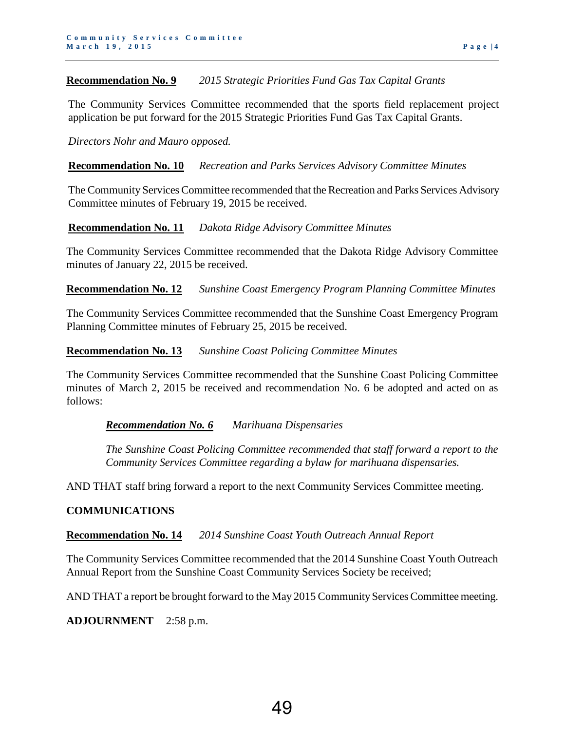#### **Recommendation No. 9** *2015 Strategic Priorities Fund Gas Tax Capital Grants*

The Community Services Committee recommended that the sports field replacement project application be put forward for the 2015 Strategic Priorities Fund Gas Tax Capital Grants.

#### *Directors Nohr and Mauro opposed.*

#### **Recommendation No. 10** *Recreation and Parks Services Advisory Committee Minutes*

The Community Services Committee recommended that the Recreation and Parks Services Advisory Committee minutes of February 19, 2015 be received.

#### **Recommendation No. 11** *Dakota Ridge Advisory Committee Minutes*

The Community Services Committee recommended that the Dakota Ridge Advisory Committee minutes of January 22, 2015 be received.

**Recommendation No. 12** *Sunshine Coast Emergency Program Planning Committee Minutes*

The Community Services Committee recommended that the Sunshine Coast Emergency Program Planning Committee minutes of February 25, 2015 be received.

#### **Recommendation No. 13** *Sunshine Coast Policing Committee Minutes*

The Community Services Committee recommended that the Sunshine Coast Policing Committee minutes of March 2, 2015 be received and recommendation No. 6 be adopted and acted on as follows:

#### *Recommendation No. 6 Marihuana Dispensaries*

*The Sunshine Coast Policing Committee recommended that staff forward a report to the Community Services Committee regarding a bylaw for marihuana dispensaries.* 

AND THAT staff bring forward a report to the next Community Services Committee meeting.

#### **COMMUNICATIONS**

#### **Recommendation No. 14** *2014 Sunshine Coast Youth Outreach Annual Report*

The Community Services Committee recommended that the 2014 Sunshine Coast Youth Outreach Annual Report from the Sunshine Coast Community Services Society be received;

AND THAT a report be brought forward to the May 2015 Community Services Committee meeting.

**ADJOURNMENT** 2:58 p.m.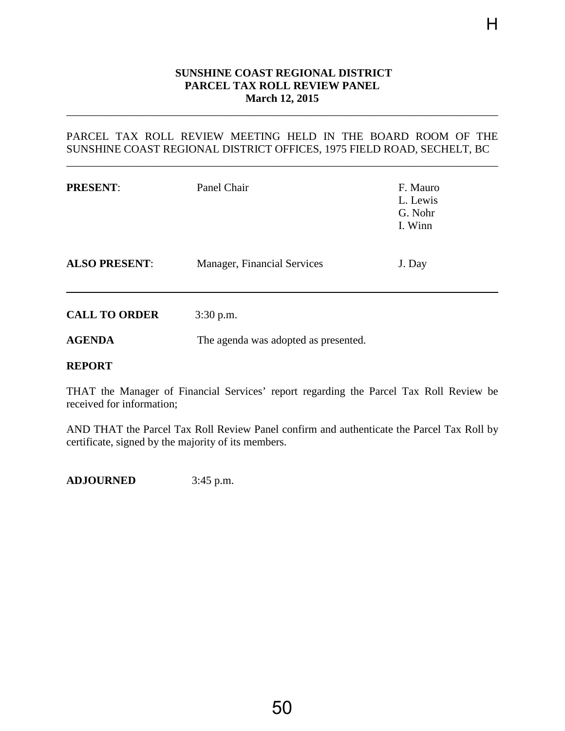#### **SUNSHINE COAST REGIONAL DISTRICT PARCEL TAX ROLL REVIEW PANEL March 12, 2015**

H

## PARCEL TAX ROLL REVIEW MEETING HELD IN THE BOARD ROOM OF THE SUNSHINE COAST REGIONAL DISTRICT OFFICES, 1975 FIELD ROAD, SECHELT, BC

\_\_\_\_\_\_\_\_\_\_\_\_\_\_\_\_\_\_\_\_\_\_\_\_\_\_\_\_\_\_\_\_\_\_\_\_\_\_\_\_\_\_\_\_\_\_\_\_\_\_\_\_\_\_\_\_\_\_\_\_\_\_\_\_\_\_\_\_\_\_\_\_\_\_\_\_\_\_

<span id="page-52-0"></span>\_\_\_\_\_\_\_\_\_\_\_\_\_\_\_\_\_\_\_\_\_\_\_\_\_\_\_\_\_\_\_\_\_\_\_\_\_\_\_\_\_\_\_\_\_\_\_\_\_\_\_\_\_\_\_\_\_\_\_\_\_\_\_\_\_\_\_\_\_\_\_\_\_\_\_\_\_\_

| <b>PRESENT:</b>                | Panel Chair                          | F. Mauro<br>L. Lewis<br>G. Nohr<br>I. Winn |
|--------------------------------|--------------------------------------|--------------------------------------------|
| <b>ALSO PRESENT:</b>           | Manager, Financial Services          | J. Day                                     |
| <b>CALL TO ORDER</b>           | $3:30$ p.m.                          |                                            |
| <b>AGENDA</b><br><b>REPORT</b> | The agenda was adopted as presented. |                                            |

THAT the Manager of Financial Services' report regarding the Parcel Tax Roll Review be received for information;

AND THAT the Parcel Tax Roll Review Panel confirm and authenticate the Parcel Tax Roll by certificate, signed by the majority of its members.

**ADJOURNED** 3:45 p.m.